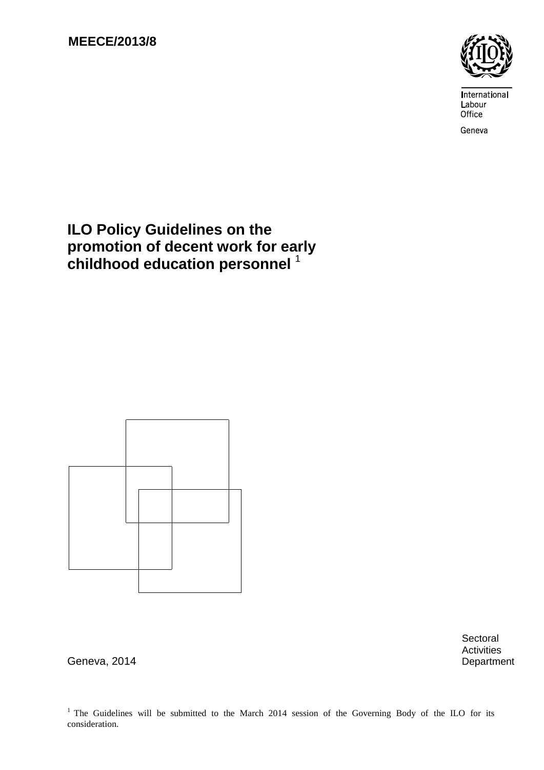

International Labour Office

Geneva

# **ILO Policy Guidelines on the promotion of decent work for early childhood education personnel** <sup>1</sup>



**Sectoral** Activities

Geneva, 2014 **Department** 

<sup>1</sup> The Guidelines will be submitted to the March 2014 session of the Governing Body of the ILO for its consideration.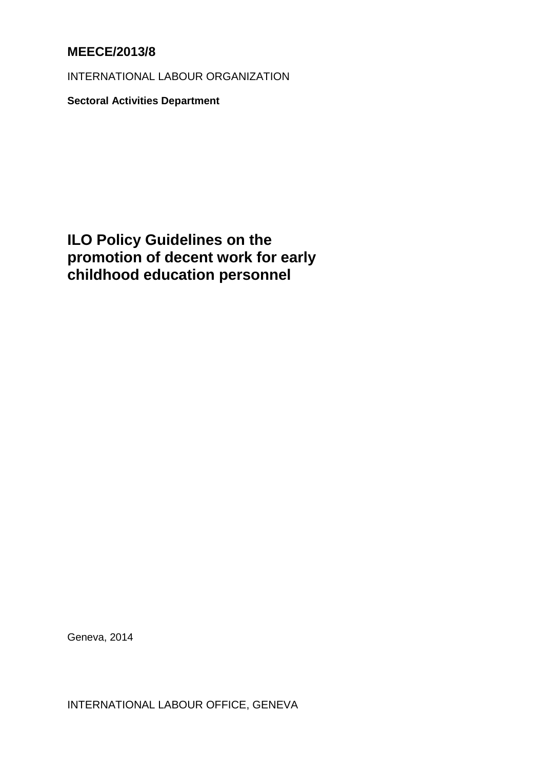## **MEECE/2013/8**

INTERNATIONAL LABOUR ORGANIZATION

**Sectoral Activities Department**

**ILO Policy Guidelines on the promotion of decent work for early childhood education personnel**

Geneva, 2014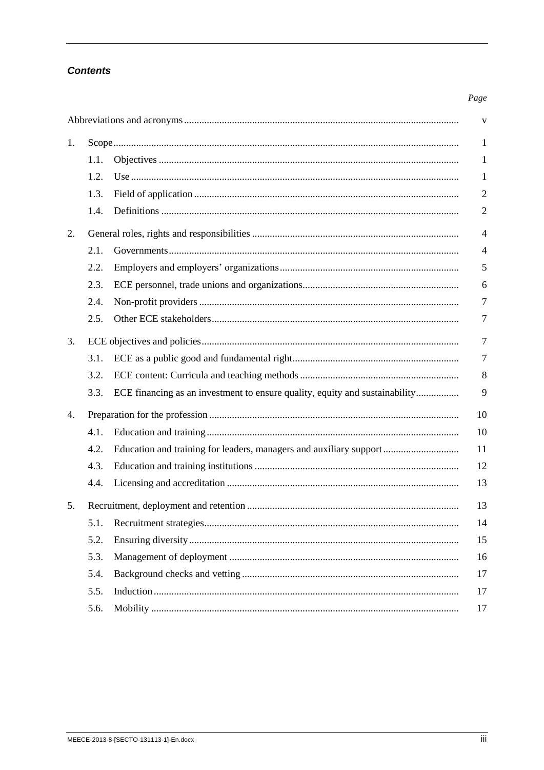## **Contents**

#### Page

| V  |                |                                                                             |                |  |  |
|----|----------------|-----------------------------------------------------------------------------|----------------|--|--|
| 1. |                |                                                                             |                |  |  |
|    | 1.1.           |                                                                             | 1              |  |  |
|    | 1.2.           |                                                                             | 1              |  |  |
|    | 1.3.           |                                                                             | $\overline{2}$ |  |  |
|    | 1.4.           |                                                                             | $\mathfrak{2}$ |  |  |
| 2. | $\overline{4}$ |                                                                             |                |  |  |
|    | 2.1.           |                                                                             | $\overline{4}$ |  |  |
|    | 2.2.           |                                                                             | 5              |  |  |
|    | 2.3.           |                                                                             | 6              |  |  |
|    | 2.4.           |                                                                             | 7              |  |  |
|    | 2.5.           |                                                                             | 7              |  |  |
| 3. | 7              |                                                                             |                |  |  |
|    | 3.1.           |                                                                             | 7              |  |  |
|    | 3.2.           |                                                                             | 8              |  |  |
|    | 3.3.           | ECE financing as an investment to ensure quality, equity and sustainability | 9              |  |  |
| 4. | 10             |                                                                             |                |  |  |
|    | 4.1.           |                                                                             | 10             |  |  |
|    | 4.2.           | Education and training for leaders, managers and auxiliary support          | 11             |  |  |
|    | 4.3.           |                                                                             | 12             |  |  |
|    | 4.4.           |                                                                             | 13             |  |  |
| 5. | 13             |                                                                             |                |  |  |
|    | 5.1.           |                                                                             | 14             |  |  |
|    | 5.2.           |                                                                             | 15             |  |  |
|    | 5.3.           |                                                                             | 16             |  |  |
|    | 5.4.           |                                                                             | 17             |  |  |
|    | 5.5.           |                                                                             | 17             |  |  |
|    | 5.6.           |                                                                             | 17             |  |  |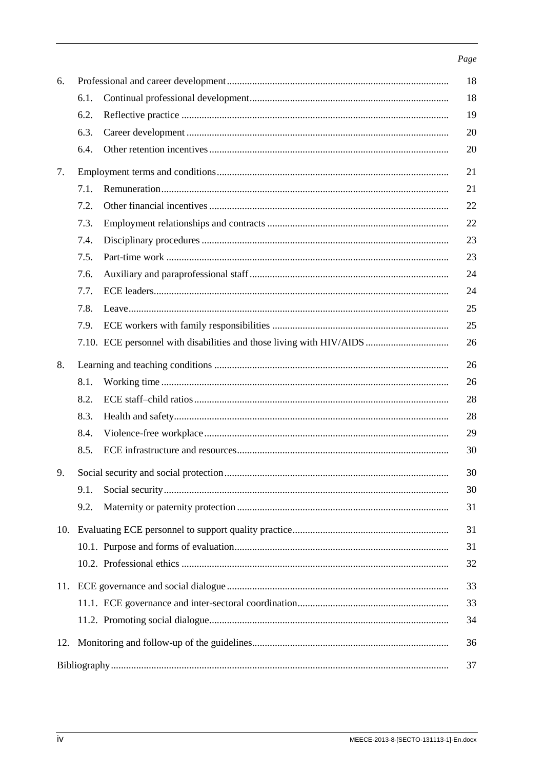#### Page

| 6.  | 18   |  |    |  |  |
|-----|------|--|----|--|--|
|     | 6.1. |  | 18 |  |  |
|     | 6.2. |  | 19 |  |  |
|     | 6.3. |  | 20 |  |  |
|     | 6.4. |  | 20 |  |  |
| 7.  | 21   |  |    |  |  |
|     | 7.1. |  | 21 |  |  |
|     | 7.2. |  | 22 |  |  |
|     | 7.3. |  | 22 |  |  |
|     | 7.4. |  | 23 |  |  |
|     | 7.5. |  | 23 |  |  |
|     | 7.6. |  | 24 |  |  |
|     | 7.7. |  | 24 |  |  |
|     | 7.8. |  | 25 |  |  |
|     | 7.9. |  | 25 |  |  |
|     |      |  | 26 |  |  |
| 8.  | 26   |  |    |  |  |
|     | 8.1. |  | 26 |  |  |
|     | 8.2. |  | 28 |  |  |
|     | 8.3. |  | 28 |  |  |
|     | 8.4. |  | 29 |  |  |
|     | 8.5. |  | 30 |  |  |
| 9.  | 30   |  |    |  |  |
|     | 9.1. |  | 30 |  |  |
|     | 9.2. |  | 31 |  |  |
| 10. | 31   |  |    |  |  |
|     |      |  | 31 |  |  |
|     |      |  | 32 |  |  |
|     |      |  |    |  |  |
|     |      |  | 33 |  |  |
|     |      |  | 34 |  |  |
| 12. | 36   |  |    |  |  |
|     |      |  | 37 |  |  |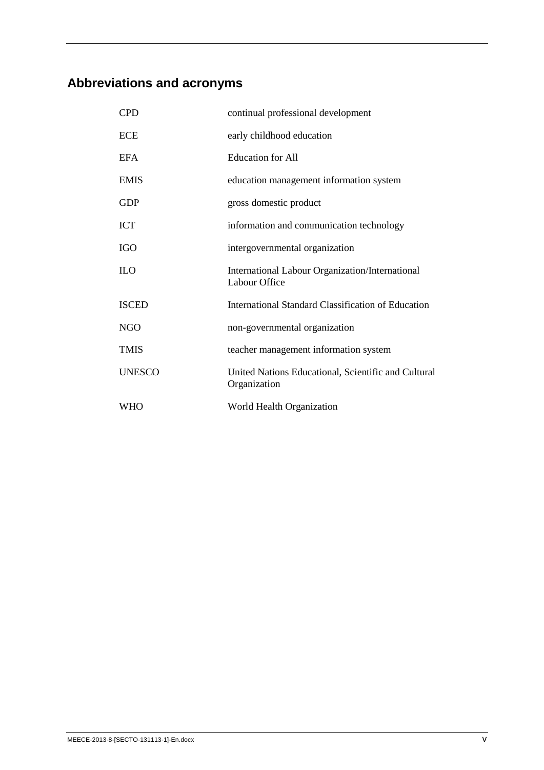# <span id="page-6-0"></span>**Abbreviations and acronyms**

| <b>CPD</b>    | continual professional development                                  |
|---------------|---------------------------------------------------------------------|
| ECE           | early childhood education                                           |
| EFA           | <b>Education</b> for All                                            |
| EMIS          | education management information system                             |
| <b>GDP</b>    | gross domestic product                                              |
| ICT           | information and communication technology                            |
| IGO           | intergovernmental organization                                      |
| ILО           | International Labour Organization/International<br>Labour Office    |
| <b>ISCED</b>  | International Standard Classification of Education                  |
| NGO           | non-governmental organization                                       |
| <b>TMIS</b>   | teacher management information system                               |
| <b>UNESCO</b> | United Nations Educational, Scientific and Cultural<br>Organization |
| WHO           | World Health Organization                                           |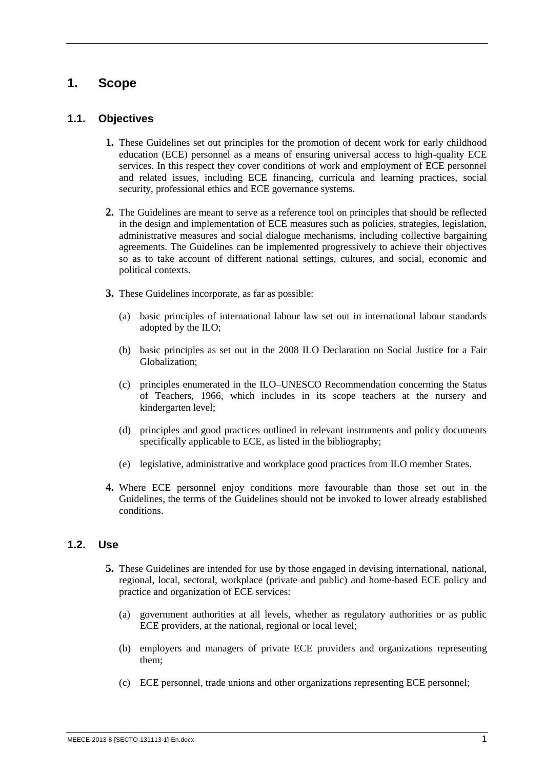## <span id="page-8-0"></span>**1. Scope**

#### <span id="page-8-1"></span>**1.1. Objectives**

- **1.** These Guidelines set out principles for the promotion of decent work for early childhood education (ECE) personnel as a means of ensuring universal access to high-quality ECE services. In this respect they cover conditions of work and employment of ECE personnel and related issues, including ECE financing, curricula and learning practices, social security, professional ethics and ECE governance systems.
- **2.** The Guidelines are meant to serve as a reference tool on principles that should be reflected in the design and implementation of ECE measures such as policies, strategies, legislation, administrative measures and social dialogue mechanisms, including collective bargaining agreements. The Guidelines can be implemented progressively to achieve their objectives so as to take account of different national settings, cultures, and social, economic and political contexts.
- **3.** These Guidelines incorporate, as far as possible:
	- (a) basic principles of international labour law set out in international labour standards adopted by the ILO;
	- (b) basic principles as set out in the 2008 ILO Declaration on Social Justice for a Fair Globalization;
	- (c) principles enumerated in the ILO–UNESCO Recommendation concerning the Status of Teachers, 1966, which includes in its scope teachers at the nursery and kindergarten level;
	- (d) principles and good practices outlined in relevant instruments and policy documents specifically applicable to ECE, as listed in the bibliography;
	- (e) legislative, administrative and workplace good practices from ILO member States.
- **4.** Where ECE personnel enjoy conditions more favourable than those set out in the Guidelines, the terms of the Guidelines should not be invoked to lower already established conditions.

### <span id="page-8-2"></span>**1.2. Use**

- **5.** These Guidelines are intended for use by those engaged in devising international, national, regional, local, sectoral, workplace (private and public) and home-based ECE policy and practice and organization of ECE services:
	- (a) government authorities at all levels, whether as regulatory authorities or as public ECE providers, at the national, regional or local level;
	- (b) employers and managers of private ECE providers and organizations representing them;
	- (c) ECE personnel, trade unions and other organizations representing ECE personnel;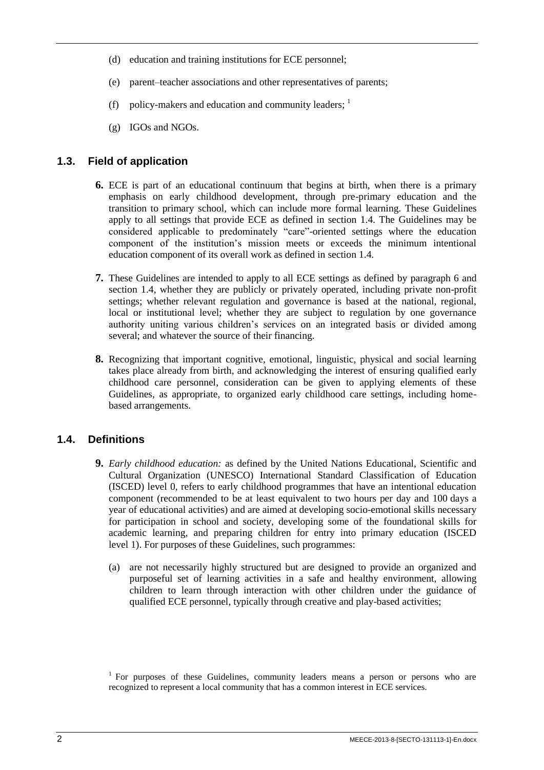- (d) education and training institutions for ECE personnel;
- (e) parent–teacher associations and other representatives of parents;
- (f) policy-makers and education and community leaders;  $\frac{1}{1}$
- (g) IGOs and NGOs.

#### <span id="page-9-0"></span>**1.3. Field of application**

- **6.** ECE is part of an educational continuum that begins at birth, when there is a primary emphasis on early childhood development, through pre-primary education and the transition to primary school, which can include more formal learning. These Guidelines apply to all settings that provide ECE as defined in section 1.4. The Guidelines may be considered applicable to predominately "care"-oriented settings where the education component of the institution's mission meets or exceeds the minimum intentional education component of its overall work as defined in section 1.4.
- **7.** These Guidelines are intended to apply to all ECE settings as defined by paragraph 6 and section 1.4, whether they are publicly or privately operated, including private non-profit settings; whether relevant regulation and governance is based at the national, regional, local or institutional level; whether they are subject to regulation by one governance authority uniting various children's services on an integrated basis or divided among several; and whatever the source of their financing.
- **8.** Recognizing that important cognitive, emotional, linguistic, physical and social learning takes place already from birth, and acknowledging the interest of ensuring qualified early childhood care personnel, consideration can be given to applying elements of these Guidelines, as appropriate, to organized early childhood care settings, including homebased arrangements.

### <span id="page-9-1"></span>**1.4. Definitions**

- **9.** *Early childhood education:* as defined by the United Nations Educational, Scientific and Cultural Organization (UNESCO) International Standard Classification of Education (ISCED) level 0, refers to early childhood programmes that have an intentional education component (recommended to be at least equivalent to two hours per day and 100 days a year of educational activities) and are aimed at developing socio-emotional skills necessary for participation in school and society, developing some of the foundational skills for academic learning, and preparing children for entry into primary education (ISCED level 1). For purposes of these Guidelines, such programmes:
	- (a) are not necessarily highly structured but are designed to provide an organized and purposeful set of learning activities in a safe and healthy environment, allowing children to learn through interaction with other children under the guidance of qualified ECE personnel, typically through creative and play-based activities;

<sup>&</sup>lt;sup>1</sup> For purposes of these Guidelines, community leaders means a person or persons who are recognized to represent a local community that has a common interest in ECE services.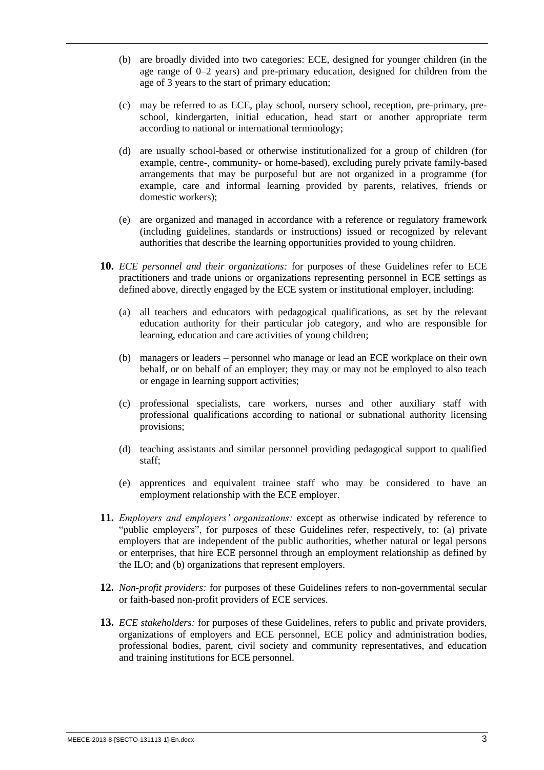- (b) are broadly divided into two categories: ECE, designed for younger children (in the age range of 0–2 years) and pre-primary education, designed for children from the age of 3 years to the start of primary education;
- (c) may be referred to as ECE, play school, nursery school, reception, pre-primary, preschool, kindergarten, initial education, head start or another appropriate term according to national or international terminology;
- (d) are usually school-based or otherwise institutionalized for a group of children (for example, centre-, community- or home-based), excluding purely private family-based arrangements that may be purposeful but are not organized in a programme (for example, care and informal learning provided by parents, relatives, friends or domestic workers);
- (e) are organized and managed in accordance with a reference or regulatory framework (including guidelines, standards or instructions) issued or recognized by relevant authorities that describe the learning opportunities provided to young children.
- **10.** *ECE personnel and their organizations:* for purposes of these Guidelines refer to ECE practitioners and trade unions or organizations representing personnel in ECE settings as defined above, directly engaged by the ECE system or institutional employer, including:
	- (a) all teachers and educators with pedagogical qualifications, as set by the relevant education authority for their particular job category, and who are responsible for learning, education and care activities of young children;
	- (b) managers or leaders personnel who manage or lead an ECE workplace on their own behalf, or on behalf of an employer; they may or may not be employed to also teach or engage in learning support activities;
	- (c) professional specialists, care workers, nurses and other auxiliary staff with professional qualifications according to national or subnational authority licensing provisions;
	- (d) teaching assistants and similar personnel providing pedagogical support to qualified staff;
	- (e) apprentices and equivalent trainee staff who may be considered to have an employment relationship with the ECE employer.
- **11.** *Employers and employers' organizations:* except as otherwise indicated by reference to "public employers", for purposes of these Guidelines refer, respectively, to: (a) private employers that are independent of the public authorities, whether natural or legal persons or enterprises, that hire ECE personnel through an employment relationship as defined by the ILO; and (b) organizations that represent employers.
- **12.** *Non-profit providers:* for purposes of these Guidelines refers to non-governmental secular or faith-based non-profit providers of ECE services.
- **13.** *ECE stakeholders:* for purposes of these Guidelines, refers to public and private providers, organizations of employers and ECE personnel, ECE policy and administration bodies, professional bodies, parent, civil society and community representatives, and education and training institutions for ECE personnel.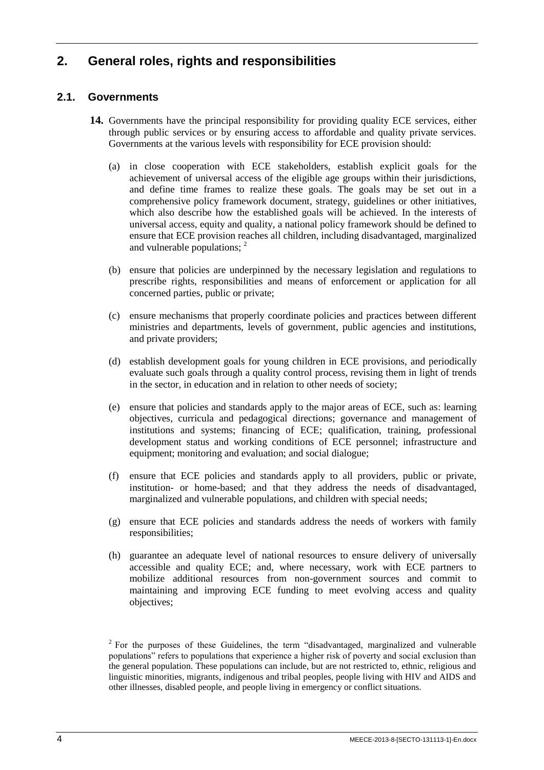## <span id="page-11-0"></span>**2. General roles, rights and responsibilities**

## <span id="page-11-1"></span>**2.1. Governments**

- **14.** Governments have the principal responsibility for providing quality ECE services, either through public services or by ensuring access to affordable and quality private services. Governments at the various levels with responsibility for ECE provision should:
	- (a) in close cooperation with ECE stakeholders, establish explicit goals for the achievement of universal access of the eligible age groups within their jurisdictions, and define time frames to realize these goals. The goals may be set out in a comprehensive policy framework document, strategy, guidelines or other initiatives, which also describe how the established goals will be achieved. In the interests of universal access, equity and quality, a national policy framework should be defined to ensure that ECE provision reaches all children, including disadvantaged, marginalized and vulnerable populations; <sup>2</sup>
	- (b) ensure that policies are underpinned by the necessary legislation and regulations to prescribe rights, responsibilities and means of enforcement or application for all concerned parties, public or private;
	- (c) ensure mechanisms that properly coordinate policies and practices between different ministries and departments, levels of government, public agencies and institutions, and private providers;
	- (d) establish development goals for young children in ECE provisions, and periodically evaluate such goals through a quality control process, revising them in light of trends in the sector, in education and in relation to other needs of society;
	- (e) ensure that policies and standards apply to the major areas of ECE, such as: learning objectives, curricula and pedagogical directions; governance and management of institutions and systems; financing of ECE; qualification, training, professional development status and working conditions of ECE personnel; infrastructure and equipment; monitoring and evaluation; and social dialogue;
	- (f) ensure that ECE policies and standards apply to all providers, public or private, institution- or home-based; and that they address the needs of disadvantaged, marginalized and vulnerable populations, and children with special needs;
	- (g) ensure that ECE policies and standards address the needs of workers with family responsibilities;
	- (h) guarantee an adequate level of national resources to ensure delivery of universally accessible and quality ECE; and, where necessary, work with ECE partners to mobilize additional resources from non-government sources and commit to maintaining and improving ECE funding to meet evolving access and quality objectives;

 $2^2$  For the purposes of these Guidelines, the term "disadvantaged, marginalized and vulnerable populations" refers to populations that experience a higher risk of poverty and social exclusion than the general population. These populations can include, but are not restricted to, ethnic, religious and linguistic minorities, migrants, indigenous and tribal peoples, people living with HIV and AIDS and other illnesses, disabled people, and people living in emergency or conflict situations.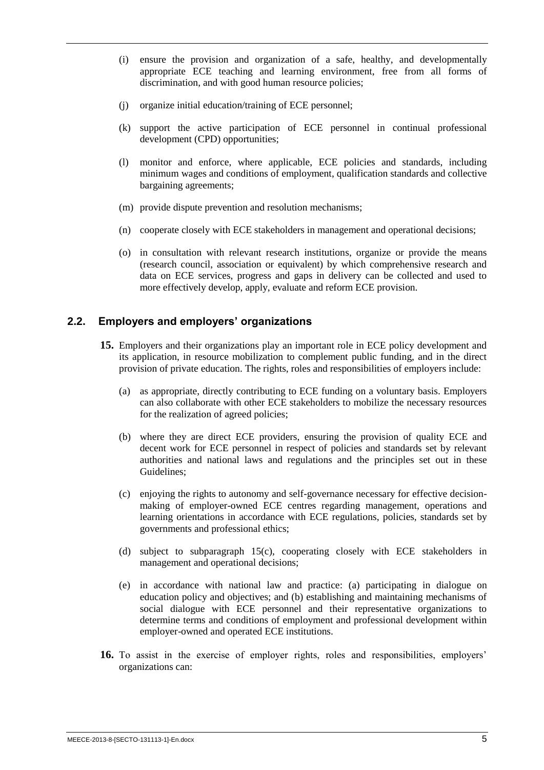- (i) ensure the provision and organization of a safe, healthy, and developmentally appropriate ECE teaching and learning environment, free from all forms of discrimination, and with good human resource policies;
- (j) organize initial education/training of ECE personnel;
- (k) support the active participation of ECE personnel in continual professional development (CPD) opportunities;
- (l) monitor and enforce, where applicable, ECE policies and standards, including minimum wages and conditions of employment, qualification standards and collective bargaining agreements;
- (m) provide dispute prevention and resolution mechanisms;
- (n) cooperate closely with ECE stakeholders in management and operational decisions;
- (o) in consultation with relevant research institutions, organize or provide the means (research council, association or equivalent) by which comprehensive research and data on ECE services, progress and gaps in delivery can be collected and used to more effectively develop, apply, evaluate and reform ECE provision.

#### <span id="page-12-0"></span>**2.2. Employers and employers' organizations**

- **15.** Employers and their organizations play an important role in ECE policy development and its application, in resource mobilization to complement public funding, and in the direct provision of private education. The rights, roles and responsibilities of employers include:
	- (a) as appropriate, directly contributing to ECE funding on a voluntary basis. Employers can also collaborate with other ECE stakeholders to mobilize the necessary resources for the realization of agreed policies;
	- (b) where they are direct ECE providers, ensuring the provision of quality ECE and decent work for ECE personnel in respect of policies and standards set by relevant authorities and national laws and regulations and the principles set out in these Guidelines;
	- (c) enjoying the rights to autonomy and self-governance necessary for effective decisionmaking of employer-owned ECE centres regarding management, operations and learning orientations in accordance with ECE regulations, policies, standards set by governments and professional ethics;
	- (d) subject to subparagraph 15(c), cooperating closely with ECE stakeholders in management and operational decisions;
	- (e) in accordance with national law and practice: (a) participating in dialogue on education policy and objectives; and (b) establishing and maintaining mechanisms of social dialogue with ECE personnel and their representative organizations to determine terms and conditions of employment and professional development within employer-owned and operated ECE institutions.
- **16.** To assist in the exercise of employer rights, roles and responsibilities, employers' organizations can: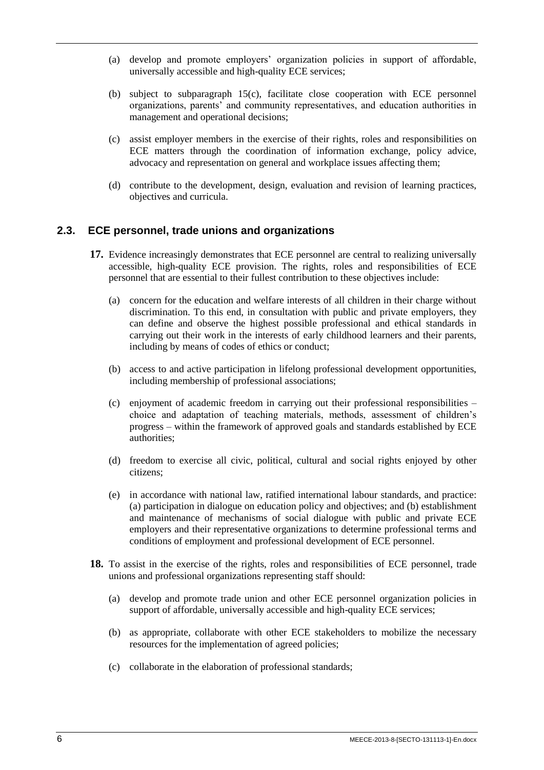- (a) develop and promote employers' organization policies in support of affordable, universally accessible and high-quality ECE services;
- (b) subject to subparagraph 15(c), facilitate close cooperation with ECE personnel organizations, parents' and community representatives, and education authorities in management and operational decisions;
- (c) assist employer members in the exercise of their rights, roles and responsibilities on ECE matters through the coordination of information exchange, policy advice, advocacy and representation on general and workplace issues affecting them;
- (d) contribute to the development, design, evaluation and revision of learning practices, objectives and curricula.

### <span id="page-13-0"></span>**2.3. ECE personnel, trade unions and organizations**

- **17.** Evidence increasingly demonstrates that ECE personnel are central to realizing universally accessible, high-quality ECE provision. The rights, roles and responsibilities of ECE personnel that are essential to their fullest contribution to these objectives include:
	- (a) concern for the education and welfare interests of all children in their charge without discrimination. To this end, in consultation with public and private employers, they can define and observe the highest possible professional and ethical standards in carrying out their work in the interests of early childhood learners and their parents, including by means of codes of ethics or conduct;
	- (b) access to and active participation in lifelong professional development opportunities, including membership of professional associations;
	- (c) enjoyment of academic freedom in carrying out their professional responsibilities choice and adaptation of teaching materials, methods, assessment of children's progress – within the framework of approved goals and standards established by ECE authorities;
	- (d) freedom to exercise all civic, political, cultural and social rights enjoyed by other citizens;
	- (e) in accordance with national law, ratified international labour standards, and practice: (a) participation in dialogue on education policy and objectives; and (b) establishment and maintenance of mechanisms of social dialogue with public and private ECE employers and their representative organizations to determine professional terms and conditions of employment and professional development of ECE personnel.
- **18.** To assist in the exercise of the rights, roles and responsibilities of ECE personnel, trade unions and professional organizations representing staff should:
	- (a) develop and promote trade union and other ECE personnel organization policies in support of affordable, universally accessible and high-quality ECE services;
	- (b) as appropriate, collaborate with other ECE stakeholders to mobilize the necessary resources for the implementation of agreed policies;
	- (c) collaborate in the elaboration of professional standards;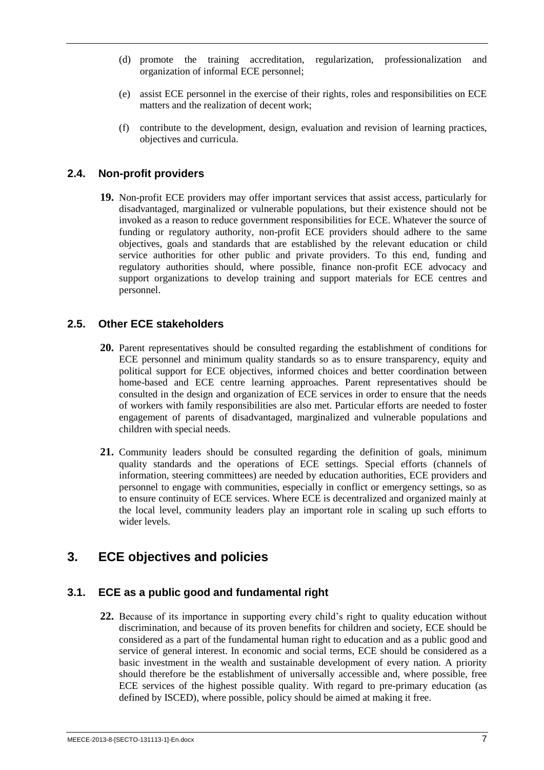- (d) promote the training accreditation, regularization, professionalization and organization of informal ECE personnel;
- (e) assist ECE personnel in the exercise of their rights, roles and responsibilities on ECE matters and the realization of decent work;
- (f) contribute to the development, design, evaluation and revision of learning practices, objectives and curricula.

#### <span id="page-14-0"></span>**2.4. Non-profit providers**

**19.** Non-profit ECE providers may offer important services that assist access, particularly for disadvantaged, marginalized or vulnerable populations, but their existence should not be invoked as a reason to reduce government responsibilities for ECE. Whatever the source of funding or regulatory authority, non-profit ECE providers should adhere to the same objectives, goals and standards that are established by the relevant education or child service authorities for other public and private providers. To this end, funding and regulatory authorities should, where possible, finance non-profit ECE advocacy and support organizations to develop training and support materials for ECE centres and personnel.

#### <span id="page-14-1"></span>**2.5. Other ECE stakeholders**

- **20.** Parent representatives should be consulted regarding the establishment of conditions for ECE personnel and minimum quality standards so as to ensure transparency, equity and political support for ECE objectives, informed choices and better coordination between home-based and ECE centre learning approaches. Parent representatives should be consulted in the design and organization of ECE services in order to ensure that the needs of workers with family responsibilities are also met. Particular efforts are needed to foster engagement of parents of disadvantaged, marginalized and vulnerable populations and children with special needs.
- **21.** Community leaders should be consulted regarding the definition of goals, minimum quality standards and the operations of ECE settings. Special efforts (channels of information, steering committees) are needed by education authorities, ECE providers and personnel to engage with communities, especially in conflict or emergency settings, so as to ensure continuity of ECE services. Where ECE is decentralized and organized mainly at the local level, community leaders play an important role in scaling up such efforts to wider levels.

## <span id="page-14-2"></span>**3. ECE objectives and policies**

### <span id="page-14-3"></span>**3.1. ECE as a public good and fundamental right**

**22.** Because of its importance in supporting every child's right to quality education without discrimination, and because of its proven benefits for children and society, ECE should be considered as a part of the fundamental human right to education and as a public good and service of general interest. In economic and social terms, ECE should be considered as a basic investment in the wealth and sustainable development of every nation. A priority should therefore be the establishment of universally accessible and, where possible, free ECE services of the highest possible quality. With regard to pre-primary education (as defined by ISCED), where possible, policy should be aimed at making it free.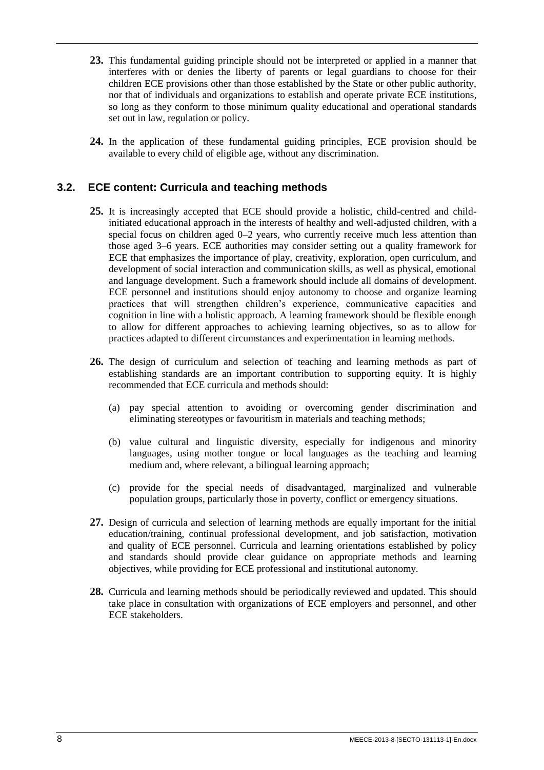- **23.** This fundamental guiding principle should not be interpreted or applied in a manner that interferes with or denies the liberty of parents or legal guardians to choose for their children ECE provisions other than those established by the State or other public authority, nor that of individuals and organizations to establish and operate private ECE institutions, so long as they conform to those minimum quality educational and operational standards set out in law, regulation or policy.
- **24.** In the application of these fundamental guiding principles, ECE provision should be available to every child of eligible age, without any discrimination.

### <span id="page-15-0"></span>**3.2. ECE content: Curricula and teaching methods**

- **25.** It is increasingly accepted that ECE should provide a holistic, child-centred and childinitiated educational approach in the interests of healthy and well-adjusted children, with a special focus on children aged 0–2 years, who currently receive much less attention than those aged 3–6 years. ECE authorities may consider setting out a quality framework for ECE that emphasizes the importance of play, creativity, exploration, open curriculum, and development of social interaction and communication skills, as well as physical, emotional and language development. Such a framework should include all domains of development. ECE personnel and institutions should enjoy autonomy to choose and organize learning practices that will strengthen children's experience, communicative capacities and cognition in line with a holistic approach. A learning framework should be flexible enough to allow for different approaches to achieving learning objectives, so as to allow for practices adapted to different circumstances and experimentation in learning methods.
- **26.** The design of curriculum and selection of teaching and learning methods as part of establishing standards are an important contribution to supporting equity. It is highly recommended that ECE curricula and methods should:
	- (a) pay special attention to avoiding or overcoming gender discrimination and eliminating stereotypes or favouritism in materials and teaching methods;
	- (b) value cultural and linguistic diversity, especially for indigenous and minority languages, using mother tongue or local languages as the teaching and learning medium and, where relevant, a bilingual learning approach;
	- (c) provide for the special needs of disadvantaged, marginalized and vulnerable population groups, particularly those in poverty, conflict or emergency situations.
- **27.** Design of curricula and selection of learning methods are equally important for the initial education/training, continual professional development, and job satisfaction, motivation and quality of ECE personnel. Curricula and learning orientations established by policy and standards should provide clear guidance on appropriate methods and learning objectives, while providing for ECE professional and institutional autonomy.
- **28.** Curricula and learning methods should be periodically reviewed and updated. This should take place in consultation with organizations of ECE employers and personnel, and other ECE stakeholders.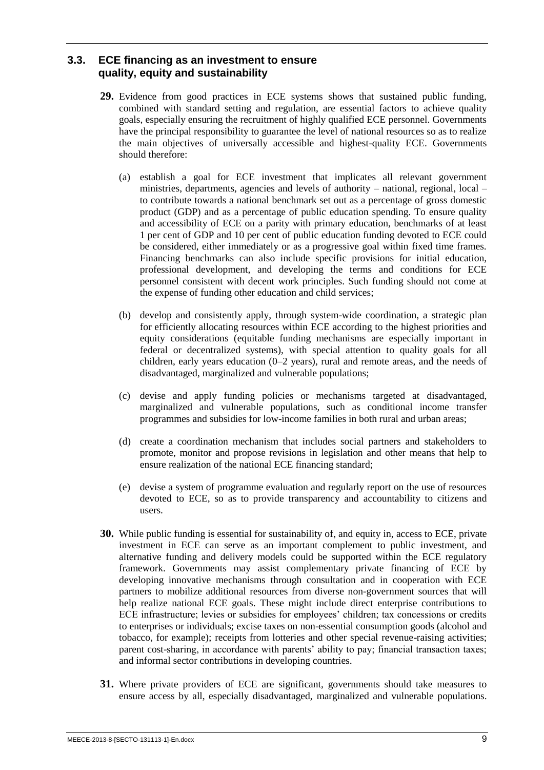### <span id="page-16-0"></span>**3.3. ECE financing as an investment to ensure quality, equity and sustainability**

- **29.** Evidence from good practices in ECE systems shows that sustained public funding, combined with standard setting and regulation, are essential factors to achieve quality goals, especially ensuring the recruitment of highly qualified ECE personnel. Governments have the principal responsibility to guarantee the level of national resources so as to realize the main objectives of universally accessible and highest-quality ECE. Governments should therefore:
	- (a) establish a goal for ECE investment that implicates all relevant government ministries, departments, agencies and levels of authority – national, regional, local – to contribute towards a national benchmark set out as a percentage of gross domestic product (GDP) and as a percentage of public education spending. To ensure quality and accessibility of ECE on a parity with primary education, benchmarks of at least 1 per cent of GDP and 10 per cent of public education funding devoted to ECE could be considered, either immediately or as a progressive goal within fixed time frames. Financing benchmarks can also include specific provisions for initial education, professional development, and developing the terms and conditions for ECE personnel consistent with decent work principles. Such funding should not come at the expense of funding other education and child services;
	- (b) develop and consistently apply, through system-wide coordination, a strategic plan for efficiently allocating resources within ECE according to the highest priorities and equity considerations (equitable funding mechanisms are especially important in federal or decentralized systems), with special attention to quality goals for all children, early years education (0–2 years), rural and remote areas, and the needs of disadvantaged, marginalized and vulnerable populations;
	- (c) devise and apply funding policies or mechanisms targeted at disadvantaged, marginalized and vulnerable populations, such as conditional income transfer programmes and subsidies for low-income families in both rural and urban areas;
	- (d) create a coordination mechanism that includes social partners and stakeholders to promote, monitor and propose revisions in legislation and other means that help to ensure realization of the national ECE financing standard;
	- (e) devise a system of programme evaluation and regularly report on the use of resources devoted to ECE, so as to provide transparency and accountability to citizens and users.
- **30.** While public funding is essential for sustainability of, and equity in, access to ECE, private investment in ECE can serve as an important complement to public investment, and alternative funding and delivery models could be supported within the ECE regulatory framework. Governments may assist complementary private financing of ECE by developing innovative mechanisms through consultation and in cooperation with ECE partners to mobilize additional resources from diverse non-government sources that will help realize national ECE goals. These might include direct enterprise contributions to ECE infrastructure; levies or subsidies for employees' children; tax concessions or credits to enterprises or individuals; excise taxes on non-essential consumption goods (alcohol and tobacco, for example); receipts from lotteries and other special revenue-raising activities; parent cost-sharing, in accordance with parents' ability to pay; financial transaction taxes; and informal sector contributions in developing countries.
- **31.** Where private providers of ECE are significant, governments should take measures to ensure access by all, especially disadvantaged, marginalized and vulnerable populations.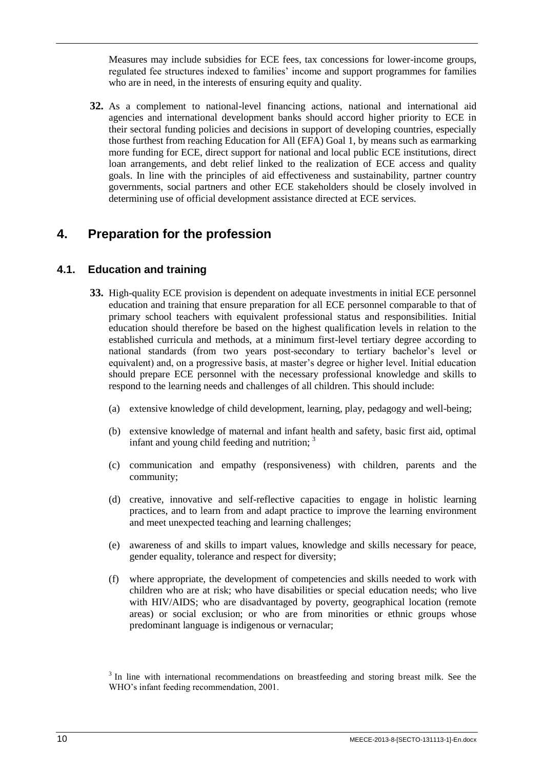Measures may include subsidies for ECE fees, tax concessions for lower-income groups, regulated fee structures indexed to families' income and support programmes for families who are in need, in the interests of ensuring equity and quality.

**32.** As a complement to national-level financing actions, national and international aid agencies and international development banks should accord higher priority to ECE in their sectoral funding policies and decisions in support of developing countries, especially those furthest from reaching Education for All (EFA) Goal 1, by means such as earmarking more funding for ECE, direct support for national and local public ECE institutions, direct loan arrangements, and debt relief linked to the realization of ECE access and quality goals. In line with the principles of aid effectiveness and sustainability, partner country governments, social partners and other ECE stakeholders should be closely involved in determining use of official development assistance directed at ECE services.

## <span id="page-17-0"></span>**4. Preparation for the profession**

## <span id="page-17-1"></span>**4.1. Education and training**

- **33.** High-quality ECE provision is dependent on adequate investments in initial ECE personnel education and training that ensure preparation for all ECE personnel comparable to that of primary school teachers with equivalent professional status and responsibilities. Initial education should therefore be based on the highest qualification levels in relation to the established curricula and methods, at a minimum first-level tertiary degree according to national standards (from two years post-secondary to tertiary bachelor's level or equivalent) and, on a progressive basis, at master's degree or higher level. Initial education should prepare ECE personnel with the necessary professional knowledge and skills to respond to the learning needs and challenges of all children. This should include:
	- (a) extensive knowledge of child development, learning, play, pedagogy and well-being;
	- (b) extensive knowledge of maternal and infant health and safety, basic first aid, optimal infant and young child feeding and nutrition; <sup>3</sup>
	- (c) communication and empathy (responsiveness) with children, parents and the community;
	- (d) creative, innovative and self-reflective capacities to engage in holistic learning practices, and to learn from and adapt practice to improve the learning environment and meet unexpected teaching and learning challenges;
	- (e) awareness of and skills to impart values, knowledge and skills necessary for peace, gender equality, tolerance and respect for diversity;
	- (f) where appropriate, the development of competencies and skills needed to work with children who are at risk; who have disabilities or special education needs; who live with HIV/AIDS; who are disadvantaged by poverty, geographical location (remote areas) or social exclusion; or who are from minorities or ethnic groups whose predominant language is indigenous or vernacular;

 $3$  In line with international recommendations on breastfeeding and storing breast milk. See the WHO's infant feeding recommendation, 2001.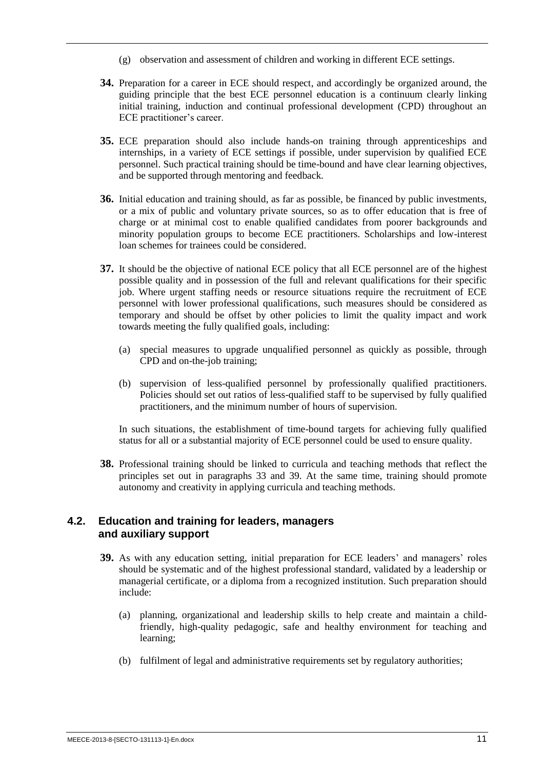- (g) observation and assessment of children and working in different ECE settings.
- **34.** Preparation for a career in ECE should respect, and accordingly be organized around, the guiding principle that the best ECE personnel education is a continuum clearly linking initial training, induction and continual professional development (CPD) throughout an ECE practitioner's career.
- **35.** ECE preparation should also include hands-on training through apprenticeships and internships, in a variety of ECE settings if possible, under supervision by qualified ECE personnel. Such practical training should be time-bound and have clear learning objectives, and be supported through mentoring and feedback.
- **36.** Initial education and training should, as far as possible, be financed by public investments, or a mix of public and voluntary private sources, so as to offer education that is free of charge or at minimal cost to enable qualified candidates from poorer backgrounds and minority population groups to become ECE practitioners. Scholarships and low-interest loan schemes for trainees could be considered.
- **37.** It should be the objective of national ECE policy that all ECE personnel are of the highest possible quality and in possession of the full and relevant qualifications for their specific job. Where urgent staffing needs or resource situations require the recruitment of ECE personnel with lower professional qualifications, such measures should be considered as temporary and should be offset by other policies to limit the quality impact and work towards meeting the fully qualified goals, including:
	- (a) special measures to upgrade unqualified personnel as quickly as possible, through CPD and on-the-job training;
	- (b) supervision of less-qualified personnel by professionally qualified practitioners. Policies should set out ratios of less-qualified staff to be supervised by fully qualified practitioners, and the minimum number of hours of supervision.

In such situations, the establishment of time-bound targets for achieving fully qualified status for all or a substantial majority of ECE personnel could be used to ensure quality.

**38.** Professional training should be linked to curricula and teaching methods that reflect the principles set out in paragraphs 33 and 39. At the same time, training should promote autonomy and creativity in applying curricula and teaching methods.

### <span id="page-18-0"></span>**4.2. Education and training for leaders, managers and auxiliary support**

- **39.** As with any education setting, initial preparation for ECE leaders' and managers' roles should be systematic and of the highest professional standard, validated by a leadership or managerial certificate, or a diploma from a recognized institution. Such preparation should include:
	- (a) planning, organizational and leadership skills to help create and maintain a childfriendly, high-quality pedagogic, safe and healthy environment for teaching and learning;
	- (b) fulfilment of legal and administrative requirements set by regulatory authorities;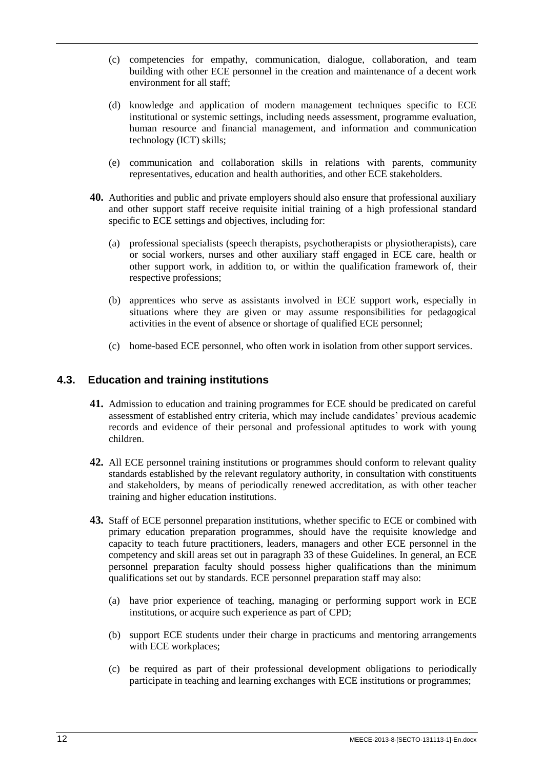- (c) competencies for empathy, communication, dialogue, collaboration, and team building with other ECE personnel in the creation and maintenance of a decent work environment for all staff;
- (d) knowledge and application of modern management techniques specific to ECE institutional or systemic settings, including needs assessment, programme evaluation, human resource and financial management, and information and communication technology (ICT) skills;
- (e) communication and collaboration skills in relations with parents, community representatives, education and health authorities, and other ECE stakeholders.
- **40.** Authorities and public and private employers should also ensure that professional auxiliary and other support staff receive requisite initial training of a high professional standard specific to ECE settings and objectives, including for:
	- (a) professional specialists (speech therapists, psychotherapists or physiotherapists), care or social workers, nurses and other auxiliary staff engaged in ECE care, health or other support work, in addition to, or within the qualification framework of, their respective professions;
	- (b) apprentices who serve as assistants involved in ECE support work, especially in situations where they are given or may assume responsibilities for pedagogical activities in the event of absence or shortage of qualified ECE personnel;
	- (c) home-based ECE personnel, who often work in isolation from other support services.

#### <span id="page-19-0"></span>**4.3. Education and training institutions**

- **41.** Admission to education and training programmes for ECE should be predicated on careful assessment of established entry criteria, which may include candidates' previous academic records and evidence of their personal and professional aptitudes to work with young children.
- **42.** All ECE personnel training institutions or programmes should conform to relevant quality standards established by the relevant regulatory authority, in consultation with constituents and stakeholders, by means of periodically renewed accreditation, as with other teacher training and higher education institutions.
- **43.** Staff of ECE personnel preparation institutions, whether specific to ECE or combined with primary education preparation programmes, should have the requisite knowledge and capacity to teach future practitioners, leaders, managers and other ECE personnel in the competency and skill areas set out in paragraph 33 of these Guidelines. In general, an ECE personnel preparation faculty should possess higher qualifications than the minimum qualifications set out by standards. ECE personnel preparation staff may also:
	- (a) have prior experience of teaching, managing or performing support work in ECE institutions, or acquire such experience as part of CPD;
	- (b) support ECE students under their charge in practicums and mentoring arrangements with ECE workplaces;
	- (c) be required as part of their professional development obligations to periodically participate in teaching and learning exchanges with ECE institutions or programmes;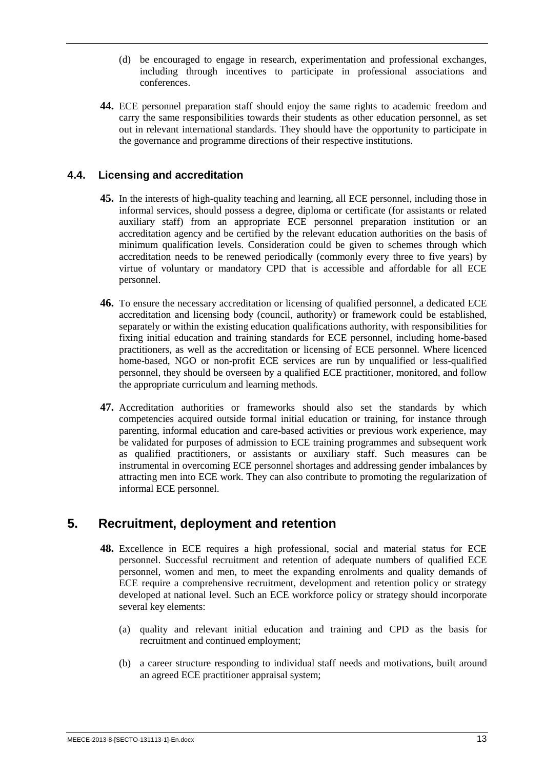- (d) be encouraged to engage in research, experimentation and professional exchanges, including through incentives to participate in professional associations and conferences.
- **44.** ECE personnel preparation staff should enjoy the same rights to academic freedom and carry the same responsibilities towards their students as other education personnel, as set out in relevant international standards. They should have the opportunity to participate in the governance and programme directions of their respective institutions.

### <span id="page-20-0"></span>**4.4. Licensing and accreditation**

- **45.** In the interests of high-quality teaching and learning, all ECE personnel, including those in informal services, should possess a degree, diploma or certificate (for assistants or related auxiliary staff) from an appropriate ECE personnel preparation institution or an accreditation agency and be certified by the relevant education authorities on the basis of minimum qualification levels. Consideration could be given to schemes through which accreditation needs to be renewed periodically (commonly every three to five years) by virtue of voluntary or mandatory CPD that is accessible and affordable for all ECE personnel.
- **46.** To ensure the necessary accreditation or licensing of qualified personnel, a dedicated ECE accreditation and licensing body (council, authority) or framework could be established, separately or within the existing education qualifications authority, with responsibilities for fixing initial education and training standards for ECE personnel, including home-based practitioners, as well as the accreditation or licensing of ECE personnel. Where licenced home-based, NGO or non-profit ECE services are run by unqualified or less-qualified personnel, they should be overseen by a qualified ECE practitioner, monitored, and follow the appropriate curriculum and learning methods.
- **47.** Accreditation authorities or frameworks should also set the standards by which competencies acquired outside formal initial education or training, for instance through parenting, informal education and care-based activities or previous work experience, may be validated for purposes of admission to ECE training programmes and subsequent work as qualified practitioners, or assistants or auxiliary staff. Such measures can be instrumental in overcoming ECE personnel shortages and addressing gender imbalances by attracting men into ECE work. They can also contribute to promoting the regularization of informal ECE personnel.

## <span id="page-20-1"></span>**5. Recruitment, deployment and retention**

- **48.** Excellence in ECE requires a high professional, social and material status for ECE personnel. Successful recruitment and retention of adequate numbers of qualified ECE personnel, women and men, to meet the expanding enrolments and quality demands of ECE require a comprehensive recruitment, development and retention policy or strategy developed at national level. Such an ECE workforce policy or strategy should incorporate several key elements:
	- (a) quality and relevant initial education and training and CPD as the basis for recruitment and continued employment;
	- (b) a career structure responding to individual staff needs and motivations, built around an agreed ECE practitioner appraisal system;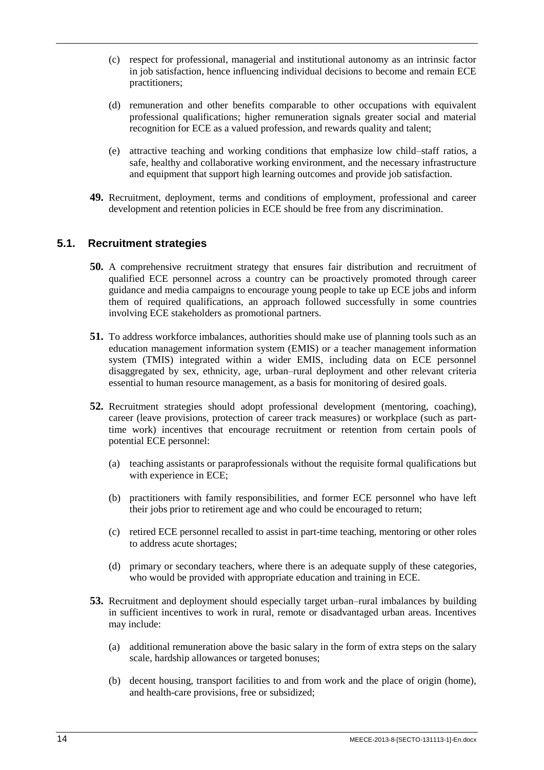- (c) respect for professional, managerial and institutional autonomy as an intrinsic factor in job satisfaction, hence influencing individual decisions to become and remain ECE practitioners;
- (d) remuneration and other benefits comparable to other occupations with equivalent professional qualifications; higher remuneration signals greater social and material recognition for ECE as a valued profession, and rewards quality and talent;
- (e) attractive teaching and working conditions that emphasize low child–staff ratios, a safe, healthy and collaborative working environment, and the necessary infrastructure and equipment that support high learning outcomes and provide job satisfaction.
- **49.** Recruitment, deployment, terms and conditions of employment, professional and career development and retention policies in ECE should be free from any discrimination.

#### <span id="page-21-0"></span>**5.1. Recruitment strategies**

- **50.** A comprehensive recruitment strategy that ensures fair distribution and recruitment of qualified ECE personnel across a country can be proactively promoted through career guidance and media campaigns to encourage young people to take up ECE jobs and inform them of required qualifications, an approach followed successfully in some countries involving ECE stakeholders as promotional partners.
- **51.** To address workforce imbalances, authorities should make use of planning tools such as an education management information system (EMIS) or a teacher management information system (TMIS) integrated within a wider EMIS, including data on ECE personnel disaggregated by sex, ethnicity, age, urban–rural deployment and other relevant criteria essential to human resource management, as a basis for monitoring of desired goals.
- **52.** Recruitment strategies should adopt professional development (mentoring, coaching), career (leave provisions, protection of career track measures) or workplace (such as parttime work) incentives that encourage recruitment or retention from certain pools of potential ECE personnel:
	- (a) teaching assistants or paraprofessionals without the requisite formal qualifications but with experience in ECE;
	- (b) practitioners with family responsibilities, and former ECE personnel who have left their jobs prior to retirement age and who could be encouraged to return;
	- (c) retired ECE personnel recalled to assist in part-time teaching, mentoring or other roles to address acute shortages;
	- (d) primary or secondary teachers, where there is an adequate supply of these categories, who would be provided with appropriate education and training in ECE.
- **53.** Recruitment and deployment should especially target urban–rural imbalances by building in sufficient incentives to work in rural, remote or disadvantaged urban areas. Incentives may include:
	- (a) additional remuneration above the basic salary in the form of extra steps on the salary scale, hardship allowances or targeted bonuses;
	- (b) decent housing, transport facilities to and from work and the place of origin (home), and health-care provisions, free or subsidized;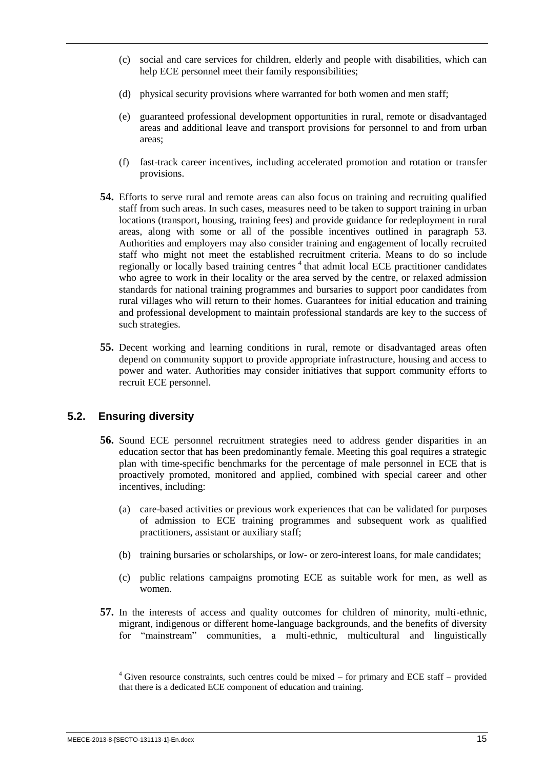- (c) social and care services for children, elderly and people with disabilities, which can help ECE personnel meet their family responsibilities;
- (d) physical security provisions where warranted for both women and men staff;
- (e) guaranteed professional development opportunities in rural, remote or disadvantaged areas and additional leave and transport provisions for personnel to and from urban areas;
- (f) fast-track career incentives, including accelerated promotion and rotation or transfer provisions.
- **54.** Efforts to serve rural and remote areas can also focus on training and recruiting qualified staff from such areas. In such cases, measures need to be taken to support training in urban locations (transport, housing, training fees) and provide guidance for redeployment in rural areas, along with some or all of the possible incentives outlined in paragraph 53. Authorities and employers may also consider training and engagement of locally recruited staff who might not meet the established recruitment criteria. Means to do so include regionally or locally based training centres<sup>4</sup> that admit local ECE practitioner candidates who agree to work in their locality or the area served by the centre, or relaxed admission standards for national training programmes and bursaries to support poor candidates from rural villages who will return to their homes. Guarantees for initial education and training and professional development to maintain professional standards are key to the success of such strategies.
- **55.** Decent working and learning conditions in rural, remote or disadvantaged areas often depend on community support to provide appropriate infrastructure, housing and access to power and water. Authorities may consider initiatives that support community efforts to recruit ECE personnel.

### <span id="page-22-0"></span>**5.2. Ensuring diversity**

- **56.** Sound ECE personnel recruitment strategies need to address gender disparities in an education sector that has been predominantly female. Meeting this goal requires a strategic plan with time-specific benchmarks for the percentage of male personnel in ECE that is proactively promoted, monitored and applied, combined with special career and other incentives, including:
	- (a) care-based activities or previous work experiences that can be validated for purposes of admission to ECE training programmes and subsequent work as qualified practitioners, assistant or auxiliary staff;
	- (b) training bursaries or scholarships, or low- or zero-interest loans, for male candidates;
	- (c) public relations campaigns promoting ECE as suitable work for men, as well as women.
- **57.** In the interests of access and quality outcomes for children of minority, multi-ethnic, migrant, indigenous or different home-language backgrounds, and the benefits of diversity for "mainstream" communities, a multi-ethnic, multicultural and linguistically

 $4$  Given resource constraints, such centres could be mixed – for primary and ECE staff – provided that there is a dedicated ECE component of education and training.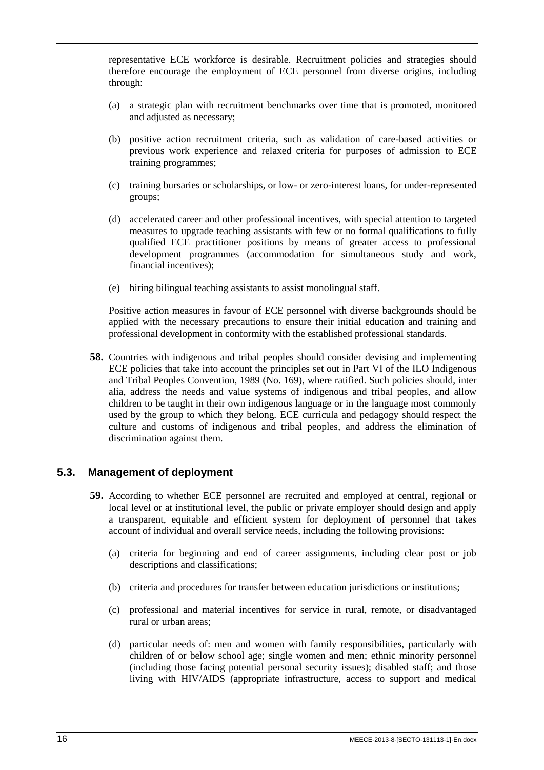representative ECE workforce is desirable. Recruitment policies and strategies should therefore encourage the employment of ECE personnel from diverse origins, including through:

- (a) a strategic plan with recruitment benchmarks over time that is promoted, monitored and adjusted as necessary;
- (b) positive action recruitment criteria, such as validation of care-based activities or previous work experience and relaxed criteria for purposes of admission to ECE training programmes;
- (c) training bursaries or scholarships, or low- or zero-interest loans, for under-represented groups;
- (d) accelerated career and other professional incentives, with special attention to targeted measures to upgrade teaching assistants with few or no formal qualifications to fully qualified ECE practitioner positions by means of greater access to professional development programmes (accommodation for simultaneous study and work, financial incentives);
- (e) hiring bilingual teaching assistants to assist monolingual staff.

Positive action measures in favour of ECE personnel with diverse backgrounds should be applied with the necessary precautions to ensure their initial education and training and professional development in conformity with the established professional standards.

**58.** Countries with indigenous and tribal peoples should consider devising and implementing ECE policies that take into account the principles set out in Part VI of the ILO Indigenous and Tribal Peoples Convention, 1989 (No. 169), where ratified. Such policies should, inter alia, address the needs and value systems of indigenous and tribal peoples, and allow children to be taught in their own indigenous language or in the language most commonly used by the group to which they belong. ECE curricula and pedagogy should respect the culture and customs of indigenous and tribal peoples, and address the elimination of discrimination against them.

#### <span id="page-23-0"></span>**5.3. Management of deployment**

- **59.** According to whether ECE personnel are recruited and employed at central, regional or local level or at institutional level, the public or private employer should design and apply a transparent, equitable and efficient system for deployment of personnel that takes account of individual and overall service needs, including the following provisions:
	- (a) criteria for beginning and end of career assignments, including clear post or job descriptions and classifications;
	- (b) criteria and procedures for transfer between education jurisdictions or institutions;
	- (c) professional and material incentives for service in rural, remote, or disadvantaged rural or urban areas;
	- (d) particular needs of: men and women with family responsibilities, particularly with children of or below school age; single women and men; ethnic minority personnel (including those facing potential personal security issues); disabled staff; and those living with HIV/AIDS (appropriate infrastructure, access to support and medical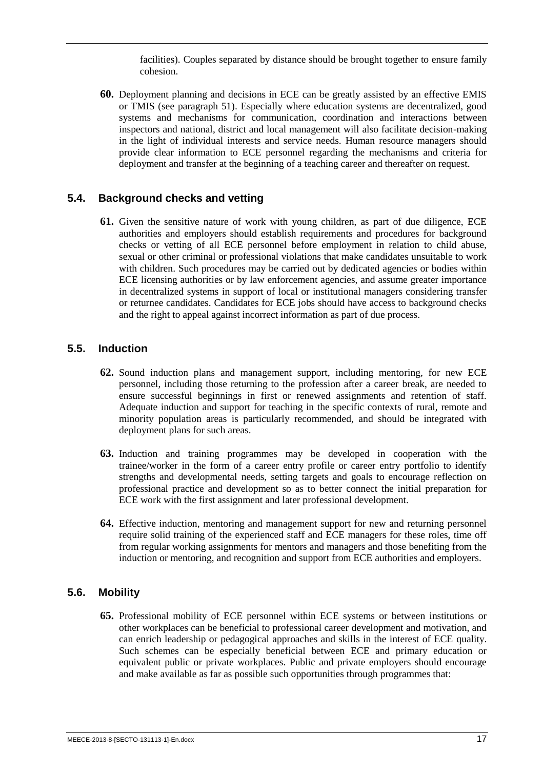facilities). Couples separated by distance should be brought together to ensure family cohesion.

**60.** Deployment planning and decisions in ECE can be greatly assisted by an effective EMIS or TMIS (see paragraph 51). Especially where education systems are decentralized, good systems and mechanisms for communication, coordination and interactions between inspectors and national, district and local management will also facilitate decision-making in the light of individual interests and service needs. Human resource managers should provide clear information to ECE personnel regarding the mechanisms and criteria for deployment and transfer at the beginning of a teaching career and thereafter on request.

#### <span id="page-24-0"></span>**5.4. Background checks and vetting**

**61.** Given the sensitive nature of work with young children, as part of due diligence, ECE authorities and employers should establish requirements and procedures for background checks or vetting of all ECE personnel before employment in relation to child abuse, sexual or other criminal or professional violations that make candidates unsuitable to work with children. Such procedures may be carried out by dedicated agencies or bodies within ECE licensing authorities or by law enforcement agencies, and assume greater importance in decentralized systems in support of local or institutional managers considering transfer or returnee candidates. Candidates for ECE jobs should have access to background checks and the right to appeal against incorrect information as part of due process.

#### <span id="page-24-1"></span>**5.5. Induction**

- **62.** Sound induction plans and management support, including mentoring, for new ECE personnel, including those returning to the profession after a career break, are needed to ensure successful beginnings in first or renewed assignments and retention of staff. Adequate induction and support for teaching in the specific contexts of rural, remote and minority population areas is particularly recommended, and should be integrated with deployment plans for such areas.
- **63.** Induction and training programmes may be developed in cooperation with the trainee/worker in the form of a career entry profile or career entry portfolio to identify strengths and developmental needs, setting targets and goals to encourage reflection on professional practice and development so as to better connect the initial preparation for ECE work with the first assignment and later professional development.
- **64.** Effective induction, mentoring and management support for new and returning personnel require solid training of the experienced staff and ECE managers for these roles, time off from regular working assignments for mentors and managers and those benefiting from the induction or mentoring, and recognition and support from ECE authorities and employers.

### <span id="page-24-2"></span>**5.6. Mobility**

**65.** Professional mobility of ECE personnel within ECE systems or between institutions or other workplaces can be beneficial to professional career development and motivation, and can enrich leadership or pedagogical approaches and skills in the interest of ECE quality. Such schemes can be especially beneficial between ECE and primary education or equivalent public or private workplaces. Public and private employers should encourage and make available as far as possible such opportunities through programmes that: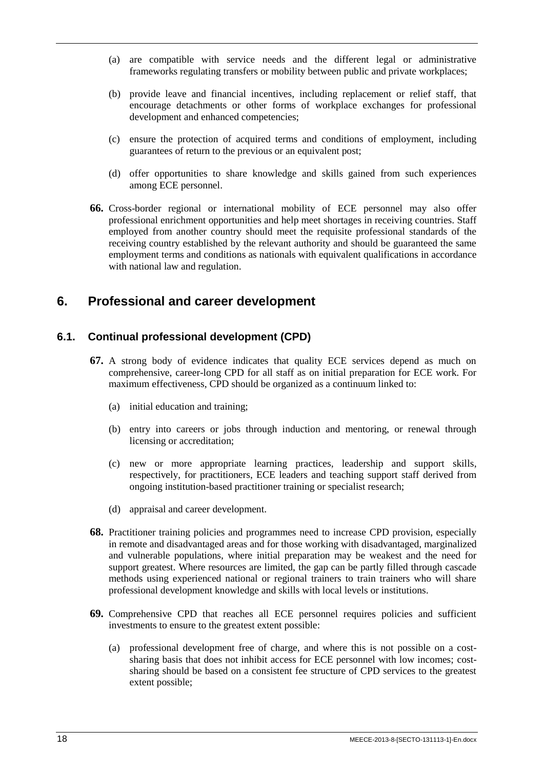- (a) are compatible with service needs and the different legal or administrative frameworks regulating transfers or mobility between public and private workplaces;
- (b) provide leave and financial incentives, including replacement or relief staff, that encourage detachments or other forms of workplace exchanges for professional development and enhanced competencies;
- (c) ensure the protection of acquired terms and conditions of employment, including guarantees of return to the previous or an equivalent post;
- (d) offer opportunities to share knowledge and skills gained from such experiences among ECE personnel.
- **66.** Cross-border regional or international mobility of ECE personnel may also offer professional enrichment opportunities and help meet shortages in receiving countries. Staff employed from another country should meet the requisite professional standards of the receiving country established by the relevant authority and should be guaranteed the same employment terms and conditions as nationals with equivalent qualifications in accordance with national law and regulation.

## <span id="page-25-0"></span>**6. Professional and career development**

## <span id="page-25-1"></span>**6.1. Continual professional development (CPD)**

- **67.** A strong body of evidence indicates that quality ECE services depend as much on comprehensive, career-long CPD for all staff as on initial preparation for ECE work. For maximum effectiveness, CPD should be organized as a continuum linked to:
	- (a) initial education and training;
	- (b) entry into careers or jobs through induction and mentoring, or renewal through licensing or accreditation;
	- (c) new or more appropriate learning practices, leadership and support skills, respectively, for practitioners, ECE leaders and teaching support staff derived from ongoing institution-based practitioner training or specialist research;
	- (d) appraisal and career development.
- **68.** Practitioner training policies and programmes need to increase CPD provision, especially in remote and disadvantaged areas and for those working with disadvantaged, marginalized and vulnerable populations, where initial preparation may be weakest and the need for support greatest. Where resources are limited, the gap can be partly filled through cascade methods using experienced national or regional trainers to train trainers who will share professional development knowledge and skills with local levels or institutions.
- **69.** Comprehensive CPD that reaches all ECE personnel requires policies and sufficient investments to ensure to the greatest extent possible:
	- (a) professional development free of charge, and where this is not possible on a costsharing basis that does not inhibit access for ECE personnel with low incomes; costsharing should be based on a consistent fee structure of CPD services to the greatest extent possible;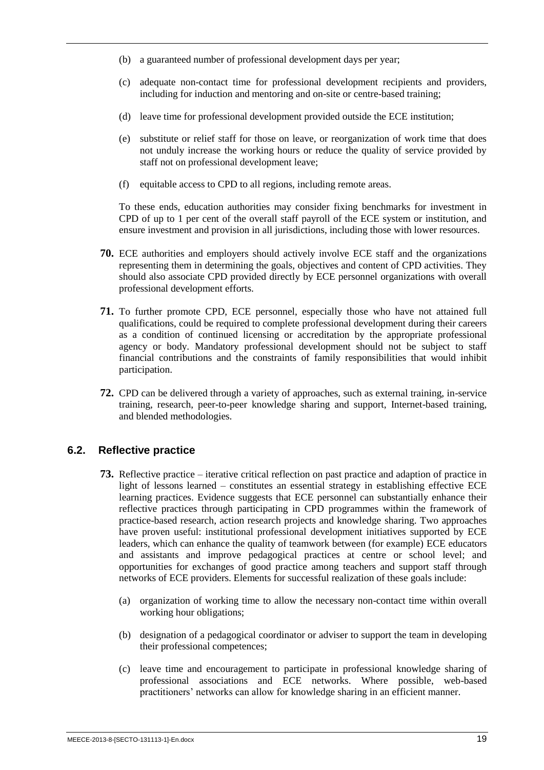- (b) a guaranteed number of professional development days per year;
- (c) adequate non-contact time for professional development recipients and providers, including for induction and mentoring and on-site or centre-based training;
- (d) leave time for professional development provided outside the ECE institution;
- (e) substitute or relief staff for those on leave, or reorganization of work time that does not unduly increase the working hours or reduce the quality of service provided by staff not on professional development leave;
- (f) equitable access to CPD to all regions, including remote areas.

To these ends, education authorities may consider fixing benchmarks for investment in CPD of up to 1 per cent of the overall staff payroll of the ECE system or institution, and ensure investment and provision in all jurisdictions, including those with lower resources.

- **70.** ECE authorities and employers should actively involve ECE staff and the organizations representing them in determining the goals, objectives and content of CPD activities. They should also associate CPD provided directly by ECE personnel organizations with overall professional development efforts.
- **71.** To further promote CPD, ECE personnel, especially those who have not attained full qualifications, could be required to complete professional development during their careers as a condition of continued licensing or accreditation by the appropriate professional agency or body. Mandatory professional development should not be subject to staff financial contributions and the constraints of family responsibilities that would inhibit participation.
- **72.** CPD can be delivered through a variety of approaches, such as external training, in-service training, research, peer-to-peer knowledge sharing and support, Internet-based training, and blended methodologies.

### <span id="page-26-0"></span>**6.2. Reflective practice**

- **73.** Reflective practice iterative critical reflection on past practice and adaption of practice in light of lessons learned – constitutes an essential strategy in establishing effective ECE learning practices. Evidence suggests that ECE personnel can substantially enhance their reflective practices through participating in CPD programmes within the framework of practice-based research, action research projects and knowledge sharing. Two approaches have proven useful: institutional professional development initiatives supported by ECE leaders, which can enhance the quality of teamwork between (for example) ECE educators and assistants and improve pedagogical practices at centre or school level; and opportunities for exchanges of good practice among teachers and support staff through networks of ECE providers. Elements for successful realization of these goals include:
	- (a) organization of working time to allow the necessary non-contact time within overall working hour obligations;
	- (b) designation of a pedagogical coordinator or adviser to support the team in developing their professional competences;
	- (c) leave time and encouragement to participate in professional knowledge sharing of professional associations and ECE networks. Where possible, web-based practitioners' networks can allow for knowledge sharing in an efficient manner.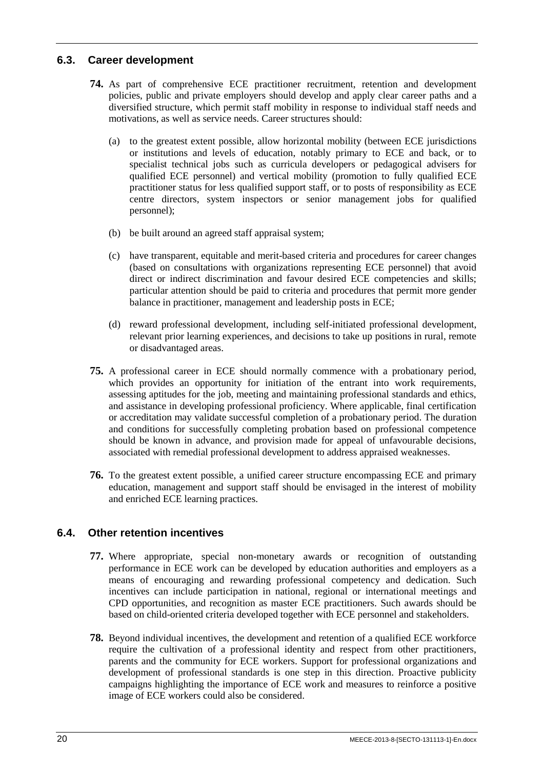### <span id="page-27-0"></span>**6.3. Career development**

- **74.** As part of comprehensive ECE practitioner recruitment, retention and development policies, public and private employers should develop and apply clear career paths and a diversified structure, which permit staff mobility in response to individual staff needs and motivations, as well as service needs. Career structures should:
	- (a) to the greatest extent possible, allow horizontal mobility (between ECE jurisdictions or institutions and levels of education, notably primary to ECE and back, or to specialist technical jobs such as curricula developers or pedagogical advisers for qualified ECE personnel) and vertical mobility (promotion to fully qualified ECE practitioner status for less qualified support staff, or to posts of responsibility as ECE centre directors, system inspectors or senior management jobs for qualified personnel);
	- (b) be built around an agreed staff appraisal system;
	- (c) have transparent, equitable and merit-based criteria and procedures for career changes (based on consultations with organizations representing ECE personnel) that avoid direct or indirect discrimination and favour desired ECE competencies and skills; particular attention should be paid to criteria and procedures that permit more gender balance in practitioner, management and leadership posts in ECE;
	- (d) reward professional development, including self-initiated professional development, relevant prior learning experiences, and decisions to take up positions in rural, remote or disadvantaged areas.
- **75.** A professional career in ECE should normally commence with a probationary period, which provides an opportunity for initiation of the entrant into work requirements, assessing aptitudes for the job, meeting and maintaining professional standards and ethics, and assistance in developing professional proficiency. Where applicable, final certification or accreditation may validate successful completion of a probationary period. The duration and conditions for successfully completing probation based on professional competence should be known in advance, and provision made for appeal of unfavourable decisions, associated with remedial professional development to address appraised weaknesses.
- **76.** To the greatest extent possible, a unified career structure encompassing ECE and primary education, management and support staff should be envisaged in the interest of mobility and enriched ECE learning practices.

## <span id="page-27-1"></span>**6.4. Other retention incentives**

- **77.** Where appropriate, special non-monetary awards or recognition of outstanding performance in ECE work can be developed by education authorities and employers as a means of encouraging and rewarding professional competency and dedication. Such incentives can include participation in national, regional or international meetings and CPD opportunities, and recognition as master ECE practitioners. Such awards should be based on child-oriented criteria developed together with ECE personnel and stakeholders.
- **78.** Beyond individual incentives, the development and retention of a qualified ECE workforce require the cultivation of a professional identity and respect from other practitioners, parents and the community for ECE workers. Support for professional organizations and development of professional standards is one step in this direction. Proactive publicity campaigns highlighting the importance of ECE work and measures to reinforce a positive image of ECE workers could also be considered.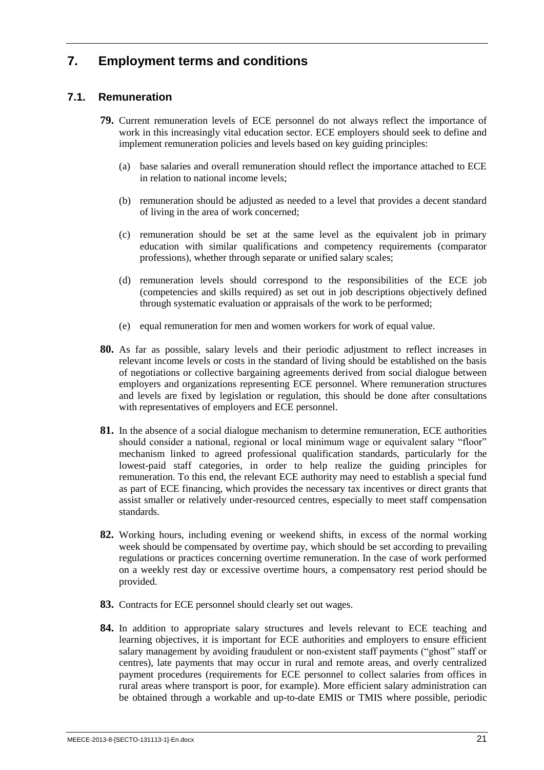## <span id="page-28-0"></span>**7. Employment terms and conditions**

## <span id="page-28-1"></span>**7.1. Remuneration**

- **79.** Current remuneration levels of ECE personnel do not always reflect the importance of work in this increasingly vital education sector. ECE employers should seek to define and implement remuneration policies and levels based on key guiding principles:
	- (a) base salaries and overall remuneration should reflect the importance attached to ECE in relation to national income levels;
	- (b) remuneration should be adjusted as needed to a level that provides a decent standard of living in the area of work concerned;
	- (c) remuneration should be set at the same level as the equivalent job in primary education with similar qualifications and competency requirements (comparator professions), whether through separate or unified salary scales;
	- (d) remuneration levels should correspond to the responsibilities of the ECE job (competencies and skills required) as set out in job descriptions objectively defined through systematic evaluation or appraisals of the work to be performed;
	- (e) equal remuneration for men and women workers for work of equal value.
- **80.** As far as possible, salary levels and their periodic adjustment to reflect increases in relevant income levels or costs in the standard of living should be established on the basis of negotiations or collective bargaining agreements derived from social dialogue between employers and organizations representing ECE personnel. Where remuneration structures and levels are fixed by legislation or regulation, this should be done after consultations with representatives of employers and ECE personnel.
- **81.** In the absence of a social dialogue mechanism to determine remuneration, ECE authorities should consider a national, regional or local minimum wage or equivalent salary "floor" mechanism linked to agreed professional qualification standards, particularly for the lowest-paid staff categories, in order to help realize the guiding principles for remuneration. To this end, the relevant ECE authority may need to establish a special fund as part of ECE financing, which provides the necessary tax incentives or direct grants that assist smaller or relatively under-resourced centres, especially to meet staff compensation standards.
- **82.** Working hours, including evening or weekend shifts, in excess of the normal working week should be compensated by overtime pay, which should be set according to prevailing regulations or practices concerning overtime remuneration. In the case of work performed on a weekly rest day or excessive overtime hours, a compensatory rest period should be provided.
- **83.** Contracts for ECE personnel should clearly set out wages.
- **84.** In addition to appropriate salary structures and levels relevant to ECE teaching and learning objectives, it is important for ECE authorities and employers to ensure efficient salary management by avoiding fraudulent or non-existent staff payments ("ghost" staff or centres), late payments that may occur in rural and remote areas, and overly centralized payment procedures (requirements for ECE personnel to collect salaries from offices in rural areas where transport is poor, for example). More efficient salary administration can be obtained through a workable and up-to-date EMIS or TMIS where possible, periodic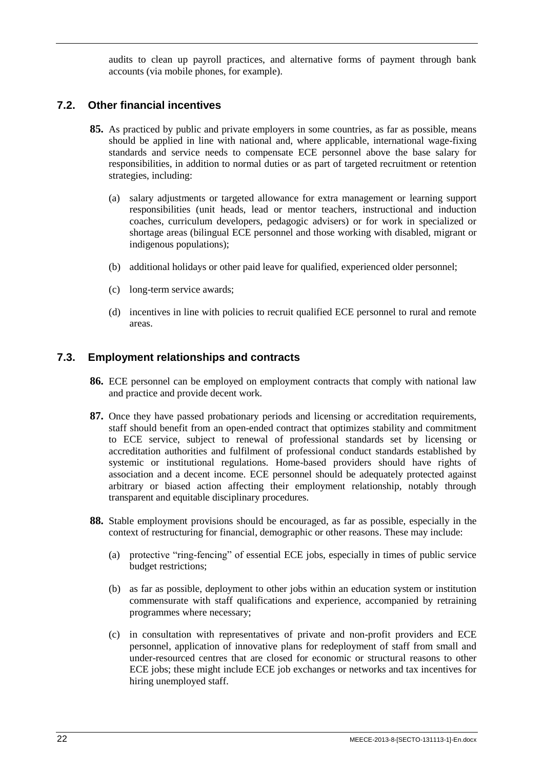audits to clean up payroll practices, and alternative forms of payment through bank accounts (via mobile phones, for example).

### <span id="page-29-0"></span>**7.2. Other financial incentives**

- **85.** As practiced by public and private employers in some countries, as far as possible, means should be applied in line with national and, where applicable, international wage-fixing standards and service needs to compensate ECE personnel above the base salary for responsibilities, in addition to normal duties or as part of targeted recruitment or retention strategies, including:
	- (a) salary adjustments or targeted allowance for extra management or learning support responsibilities (unit heads, lead or mentor teachers, instructional and induction coaches, curriculum developers, pedagogic advisers) or for work in specialized or shortage areas (bilingual ECE personnel and those working with disabled, migrant or indigenous populations);
	- (b) additional holidays or other paid leave for qualified, experienced older personnel;
	- (c) long-term service awards;
	- (d) incentives in line with policies to recruit qualified ECE personnel to rural and remote areas.

#### <span id="page-29-1"></span>**7.3. Employment relationships and contracts**

- **86.** ECE personnel can be employed on employment contracts that comply with national law and practice and provide decent work.
- **87.** Once they have passed probationary periods and licensing or accreditation requirements, staff should benefit from an open-ended contract that optimizes stability and commitment to ECE service, subject to renewal of professional standards set by licensing or accreditation authorities and fulfilment of professional conduct standards established by systemic or institutional regulations. Home-based providers should have rights of association and a decent income. ECE personnel should be adequately protected against arbitrary or biased action affecting their employment relationship, notably through transparent and equitable disciplinary procedures.
- **88.** Stable employment provisions should be encouraged, as far as possible, especially in the context of restructuring for financial, demographic or other reasons. These may include:
	- (a) protective "ring-fencing" of essential ECE jobs, especially in times of public service budget restrictions;
	- (b) as far as possible, deployment to other jobs within an education system or institution commensurate with staff qualifications and experience, accompanied by retraining programmes where necessary;
	- (c) in consultation with representatives of private and non-profit providers and ECE personnel, application of innovative plans for redeployment of staff from small and under-resourced centres that are closed for economic or structural reasons to other ECE jobs; these might include ECE job exchanges or networks and tax incentives for hiring unemployed staff.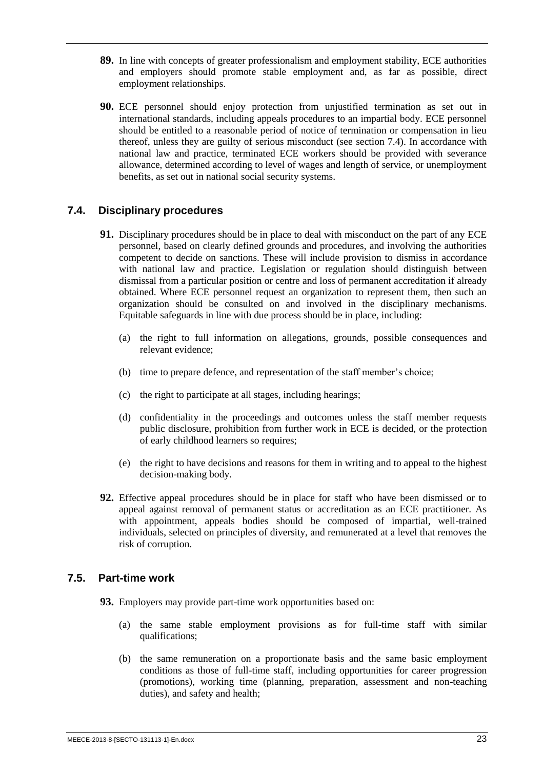- **89.** In line with concepts of greater professionalism and employment stability, ECE authorities and employers should promote stable employment and, as far as possible, direct employment relationships.
- **90.** ECE personnel should enjoy protection from unjustified termination as set out in international standards, including appeals procedures to an impartial body. ECE personnel should be entitled to a reasonable period of notice of termination or compensation in lieu thereof, unless they are guilty of serious misconduct (see section 7.4). In accordance with national law and practice, terminated ECE workers should be provided with severance allowance, determined according to level of wages and length of service, or unemployment benefits, as set out in national social security systems.

### <span id="page-30-0"></span>**7.4. Disciplinary procedures**

- **91.** Disciplinary procedures should be in place to deal with misconduct on the part of any ECE personnel, based on clearly defined grounds and procedures, and involving the authorities competent to decide on sanctions. These will include provision to dismiss in accordance with national law and practice. Legislation or regulation should distinguish between dismissal from a particular position or centre and loss of permanent accreditation if already obtained. Where ECE personnel request an organization to represent them, then such an organization should be consulted on and involved in the disciplinary mechanisms. Equitable safeguards in line with due process should be in place, including:
	- (a) the right to full information on allegations, grounds, possible consequences and relevant evidence;
	- (b) time to prepare defence, and representation of the staff member's choice;
	- (c) the right to participate at all stages, including hearings;
	- (d) confidentiality in the proceedings and outcomes unless the staff member requests public disclosure, prohibition from further work in ECE is decided, or the protection of early childhood learners so requires;
	- (e) the right to have decisions and reasons for them in writing and to appeal to the highest decision-making body.
- **92.** Effective appeal procedures should be in place for staff who have been dismissed or to appeal against removal of permanent status or accreditation as an ECE practitioner. As with appointment, appeals bodies should be composed of impartial, well-trained individuals, selected on principles of diversity, and remunerated at a level that removes the risk of corruption.

### <span id="page-30-1"></span>**7.5. Part-time work**

- **93.** Employers may provide part-time work opportunities based on:
	- (a) the same stable employment provisions as for full-time staff with similar qualifications;
	- (b) the same remuneration on a proportionate basis and the same basic employment conditions as those of full-time staff, including opportunities for career progression (promotions), working time (planning, preparation, assessment and non-teaching duties), and safety and health;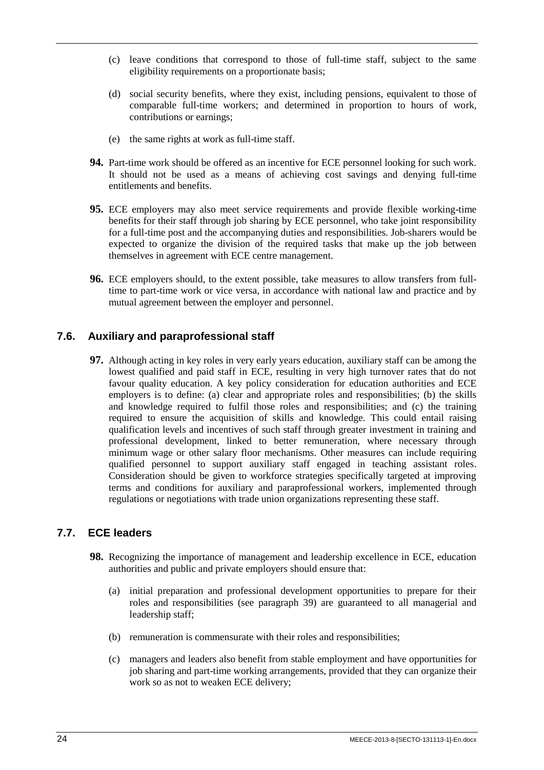- (c) leave conditions that correspond to those of full-time staff, subject to the same eligibility requirements on a proportionate basis;
- (d) social security benefits, where they exist, including pensions, equivalent to those of comparable full-time workers; and determined in proportion to hours of work, contributions or earnings;
- (e) the same rights at work as full-time staff.
- **94.** Part-time work should be offered as an incentive for ECE personnel looking for such work. It should not be used as a means of achieving cost savings and denying full-time entitlements and benefits.
- **95.** ECE employers may also meet service requirements and provide flexible working-time benefits for their staff through job sharing by ECE personnel, who take joint responsibility for a full-time post and the accompanying duties and responsibilities. Job-sharers would be expected to organize the division of the required tasks that make up the job between themselves in agreement with ECE centre management.
- **96.** ECE employers should, to the extent possible, take measures to allow transfers from fulltime to part-time work or vice versa, in accordance with national law and practice and by mutual agreement between the employer and personnel.

### <span id="page-31-0"></span>**7.6. Auxiliary and paraprofessional staff**

**97.** Although acting in key roles in very early years education, auxiliary staff can be among the lowest qualified and paid staff in ECE, resulting in very high turnover rates that do not favour quality education. A key policy consideration for education authorities and ECE employers is to define: (a) clear and appropriate roles and responsibilities; (b) the skills and knowledge required to fulfil those roles and responsibilities; and (c) the training required to ensure the acquisition of skills and knowledge. This could entail raising qualification levels and incentives of such staff through greater investment in training and professional development, linked to better remuneration, where necessary through minimum wage or other salary floor mechanisms. Other measures can include requiring qualified personnel to support auxiliary staff engaged in teaching assistant roles. Consideration should be given to workforce strategies specifically targeted at improving terms and conditions for auxiliary and paraprofessional workers, implemented through regulations or negotiations with trade union organizations representing these staff.

### <span id="page-31-1"></span>**7.7. ECE leaders**

- **98.** Recognizing the importance of management and leadership excellence in ECE, education authorities and public and private employers should ensure that:
	- (a) initial preparation and professional development opportunities to prepare for their roles and responsibilities (see paragraph 39) are guaranteed to all managerial and leadership staff;
	- (b) remuneration is commensurate with their roles and responsibilities;
	- (c) managers and leaders also benefit from stable employment and have opportunities for job sharing and part-time working arrangements, provided that they can organize their work so as not to weaken ECE delivery;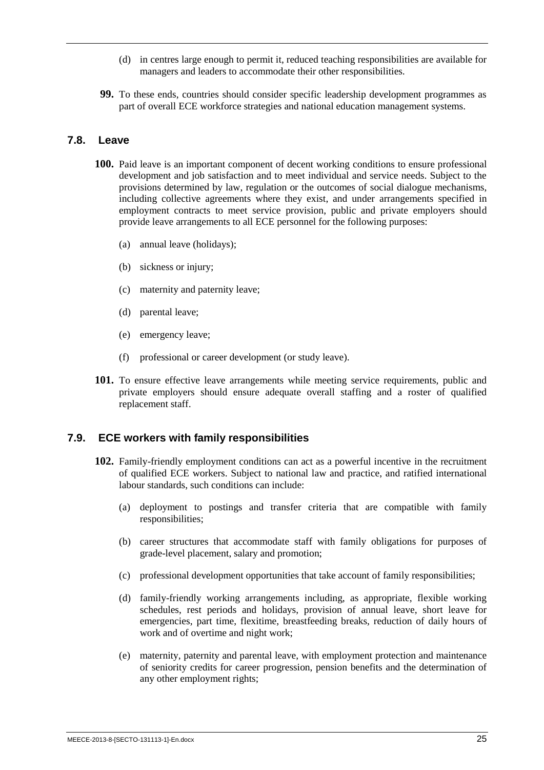- (d) in centres large enough to permit it, reduced teaching responsibilities are available for managers and leaders to accommodate their other responsibilities.
- **99.** To these ends, countries should consider specific leadership development programmes as part of overall ECE workforce strategies and national education management systems.

#### <span id="page-32-0"></span>**7.8. Leave**

- **100.** Paid leave is an important component of decent working conditions to ensure professional development and job satisfaction and to meet individual and service needs. Subject to the provisions determined by law, regulation or the outcomes of social dialogue mechanisms, including collective agreements where they exist, and under arrangements specified in employment contracts to meet service provision, public and private employers should provide leave arrangements to all ECE personnel for the following purposes:
	- (a) annual leave (holidays);
	- (b) sickness or injury;
	- (c) maternity and paternity leave;
	- (d) parental leave;
	- (e) emergency leave;
	- (f) professional or career development (or study leave).
- **101.** To ensure effective leave arrangements while meeting service requirements, public and private employers should ensure adequate overall staffing and a roster of qualified replacement staff.

#### <span id="page-32-1"></span>**7.9. ECE workers with family responsibilities**

- **102.** Family-friendly employment conditions can act as a powerful incentive in the recruitment of qualified ECE workers. Subject to national law and practice, and ratified international labour standards, such conditions can include:
	- (a) deployment to postings and transfer criteria that are compatible with family responsibilities;
	- (b) career structures that accommodate staff with family obligations for purposes of grade-level placement, salary and promotion;
	- (c) professional development opportunities that take account of family responsibilities;
	- (d) family-friendly working arrangements including, as appropriate, flexible working schedules, rest periods and holidays, provision of annual leave, short leave for emergencies, part time, flexitime, breastfeeding breaks, reduction of daily hours of work and of overtime and night work;
	- (e) maternity, paternity and parental leave, with employment protection and maintenance of seniority credits for career progression, pension benefits and the determination of any other employment rights;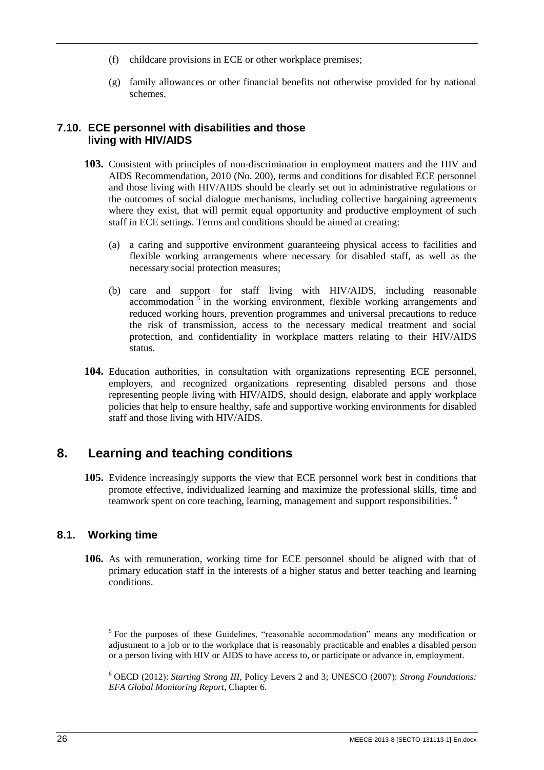- (f) childcare provisions in ECE or other workplace premises;
- (g) family allowances or other financial benefits not otherwise provided for by national schemes.

#### <span id="page-33-0"></span>**7.10. ECE personnel with disabilities and those living with HIV/AIDS**

- **103.** Consistent with principles of non-discrimination in employment matters and the HIV and AIDS Recommendation, 2010 (No. 200), terms and conditions for disabled ECE personnel and those living with HIV/AIDS should be clearly set out in administrative regulations or the outcomes of social dialogue mechanisms, including collective bargaining agreements where they exist, that will permit equal opportunity and productive employment of such staff in ECE settings. Terms and conditions should be aimed at creating:
	- (a) a caring and supportive environment guaranteeing physical access to facilities and flexible working arrangements where necessary for disabled staff, as well as the necessary social protection measures;
	- (b) care and support for staff living with HIV/AIDS, including reasonable accommodation<sup>5</sup> in the working environment, flexible working arrangements and reduced working hours, prevention programmes and universal precautions to reduce the risk of transmission, access to the necessary medical treatment and social protection, and confidentiality in workplace matters relating to their HIV/AIDS status.
- **104.** Education authorities, in consultation with organizations representing ECE personnel, employers, and recognized organizations representing disabled persons and those representing people living with HIV/AIDS, should design, elaborate and apply workplace policies that help to ensure healthy, safe and supportive working environments for disabled staff and those living with HIV/AIDS.

## <span id="page-33-1"></span>**8. Learning and teaching conditions**

**105.** Evidence increasingly supports the view that ECE personnel work best in conditions that promote effective, individualized learning and maximize the professional skills, time and teamwork spent on core teaching, learning, management and support responsibilities. <sup>6</sup>

## <span id="page-33-2"></span>**8.1. Working time**

**106.** As with remuneration, working time for ECE personnel should be aligned with that of primary education staff in the interests of a higher status and better teaching and learning conditions.

<sup>5</sup> For the purposes of these Guidelines, "reasonable accommodation" means any modification or adjustment to a job or to the workplace that is reasonably practicable and enables a disabled person or a person living with HIV or AIDS to have access to, or participate or advance in, employment.

<sup>6</sup> OECD (2012): *Starting Strong III*, Policy Levers 2 and 3; UNESCO (2007): *Strong Foundations: EFA Global Monitoring Report*, Chapter 6.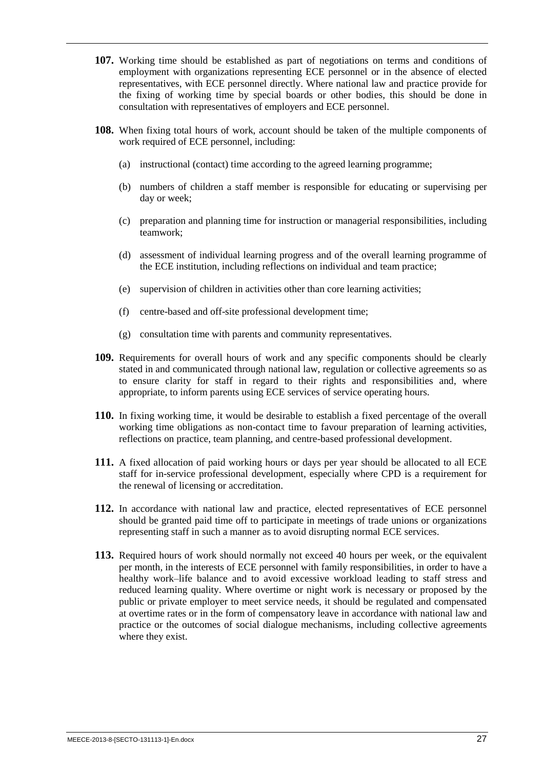- **107.** Working time should be established as part of negotiations on terms and conditions of employment with organizations representing ECE personnel or in the absence of elected representatives, with ECE personnel directly. Where national law and practice provide for the fixing of working time by special boards or other bodies, this should be done in consultation with representatives of employers and ECE personnel.
- **108.** When fixing total hours of work, account should be taken of the multiple components of work required of ECE personnel, including:
	- (a) instructional (contact) time according to the agreed learning programme;
	- (b) numbers of children a staff member is responsible for educating or supervising per day or week;
	- (c) preparation and planning time for instruction or managerial responsibilities, including teamwork;
	- (d) assessment of individual learning progress and of the overall learning programme of the ECE institution, including reflections on individual and team practice;
	- (e) supervision of children in activities other than core learning activities;
	- (f) centre-based and off-site professional development time;
	- (g) consultation time with parents and community representatives.
- **109.** Requirements for overall hours of work and any specific components should be clearly stated in and communicated through national law, regulation or collective agreements so as to ensure clarity for staff in regard to their rights and responsibilities and, where appropriate, to inform parents using ECE services of service operating hours.
- **110.** In fixing working time, it would be desirable to establish a fixed percentage of the overall working time obligations as non-contact time to favour preparation of learning activities, reflections on practice, team planning, and centre-based professional development.
- **111.** A fixed allocation of paid working hours or days per year should be allocated to all ECE staff for in-service professional development, especially where CPD is a requirement for the renewal of licensing or accreditation.
- **112.** In accordance with national law and practice, elected representatives of ECE personnel should be granted paid time off to participate in meetings of trade unions or organizations representing staff in such a manner as to avoid disrupting normal ECE services.
- **113.** Required hours of work should normally not exceed 40 hours per week, or the equivalent per month, in the interests of ECE personnel with family responsibilities, in order to have a healthy work–life balance and to avoid excessive workload leading to staff stress and reduced learning quality. Where overtime or night work is necessary or proposed by the public or private employer to meet service needs, it should be regulated and compensated at overtime rates or in the form of compensatory leave in accordance with national law and practice or the outcomes of social dialogue mechanisms, including collective agreements where they exist.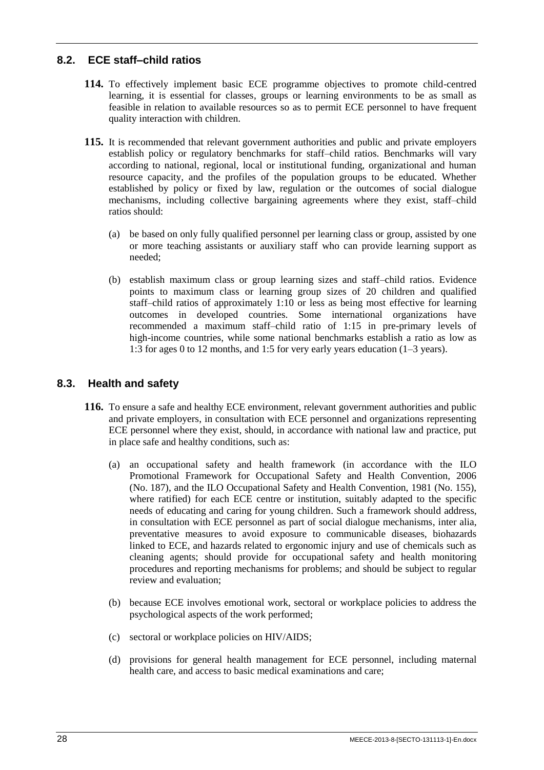## <span id="page-35-0"></span>**8.2. ECE staff–child ratios**

- **114.** To effectively implement basic ECE programme objectives to promote child-centred learning, it is essential for classes, groups or learning environments to be as small as feasible in relation to available resources so as to permit ECE personnel to have frequent quality interaction with children.
- **115.** It is recommended that relevant government authorities and public and private employers establish policy or regulatory benchmarks for staff–child ratios. Benchmarks will vary according to national, regional, local or institutional funding, organizational and human resource capacity, and the profiles of the population groups to be educated. Whether established by policy or fixed by law, regulation or the outcomes of social dialogue mechanisms, including collective bargaining agreements where they exist, staff–child ratios should:
	- (a) be based on only fully qualified personnel per learning class or group, assisted by one or more teaching assistants or auxiliary staff who can provide learning support as needed;
	- (b) establish maximum class or group learning sizes and staff–child ratios. Evidence points to maximum class or learning group sizes of 20 children and qualified staff–child ratios of approximately 1:10 or less as being most effective for learning outcomes in developed countries. Some international organizations have recommended a maximum staff–child ratio of 1:15 in pre-primary levels of high-income countries, while some national benchmarks establish a ratio as low as 1:3 for ages 0 to 12 months, and 1:5 for very early years education (1–3 years).

## <span id="page-35-1"></span>**8.3. Health and safety**

- **116.** To ensure a safe and healthy ECE environment, relevant government authorities and public and private employers, in consultation with ECE personnel and organizations representing ECE personnel where they exist, should, in accordance with national law and practice, put in place safe and healthy conditions, such as:
	- (a) an occupational safety and health framework (in accordance with the ILO Promotional Framework for Occupational Safety and Health Convention, 2006 (No. 187), and the ILO Occupational Safety and Health Convention, 1981 (No. 155), where ratified) for each ECE centre or institution, suitably adapted to the specific needs of educating and caring for young children. Such a framework should address, in consultation with ECE personnel as part of social dialogue mechanisms, inter alia, preventative measures to avoid exposure to communicable diseases, biohazards linked to ECE, and hazards related to ergonomic injury and use of chemicals such as cleaning agents; should provide for occupational safety and health monitoring procedures and reporting mechanisms for problems; and should be subject to regular review and evaluation;
	- (b) because ECE involves emotional work, sectoral or workplace policies to address the psychological aspects of the work performed;
	- (c) sectoral or workplace policies on HIV/AIDS;
	- (d) provisions for general health management for ECE personnel, including maternal health care, and access to basic medical examinations and care;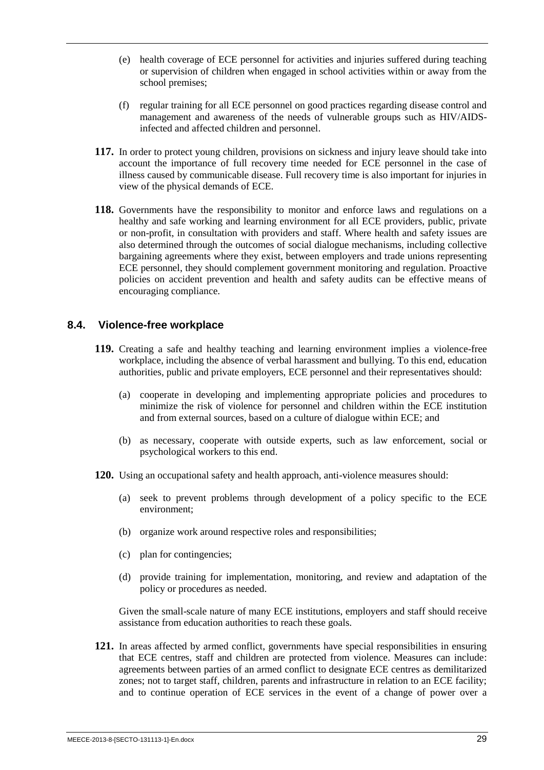- (e) health coverage of ECE personnel for activities and injuries suffered during teaching or supervision of children when engaged in school activities within or away from the school premises;
- (f) regular training for all ECE personnel on good practices regarding disease control and management and awareness of the needs of vulnerable groups such as HIV/AIDSinfected and affected children and personnel.
- **117.** In order to protect young children, provisions on sickness and injury leave should take into account the importance of full recovery time needed for ECE personnel in the case of illness caused by communicable disease. Full recovery time is also important for injuries in view of the physical demands of ECE.
- **118.** Governments have the responsibility to monitor and enforce laws and regulations on a healthy and safe working and learning environment for all ECE providers, public, private or non-profit, in consultation with providers and staff. Where health and safety issues are also determined through the outcomes of social dialogue mechanisms, including collective bargaining agreements where they exist, between employers and trade unions representing ECE personnel, they should complement government monitoring and regulation. Proactive policies on accident prevention and health and safety audits can be effective means of encouraging compliance.

#### <span id="page-36-0"></span>**8.4. Violence-free workplace**

- **119.** Creating a safe and healthy teaching and learning environment implies a violence-free workplace, including the absence of verbal harassment and bullying. To this end, education authorities, public and private employers, ECE personnel and their representatives should:
	- (a) cooperate in developing and implementing appropriate policies and procedures to minimize the risk of violence for personnel and children within the ECE institution and from external sources, based on a culture of dialogue within ECE; and
	- (b) as necessary, cooperate with outside experts, such as law enforcement, social or psychological workers to this end.
- **120.** Using an occupational safety and health approach, anti-violence measures should:
	- (a) seek to prevent problems through development of a policy specific to the ECE environment;
	- (b) organize work around respective roles and responsibilities;
	- (c) plan for contingencies;
	- (d) provide training for implementation, monitoring, and review and adaptation of the policy or procedures as needed.

Given the small-scale nature of many ECE institutions, employers and staff should receive assistance from education authorities to reach these goals.

**121.** In areas affected by armed conflict, governments have special responsibilities in ensuring that ECE centres, staff and children are protected from violence. Measures can include: agreements between parties of an armed conflict to designate ECE centres as demilitarized zones; not to target staff, children, parents and infrastructure in relation to an ECE facility; and to continue operation of ECE services in the event of a change of power over a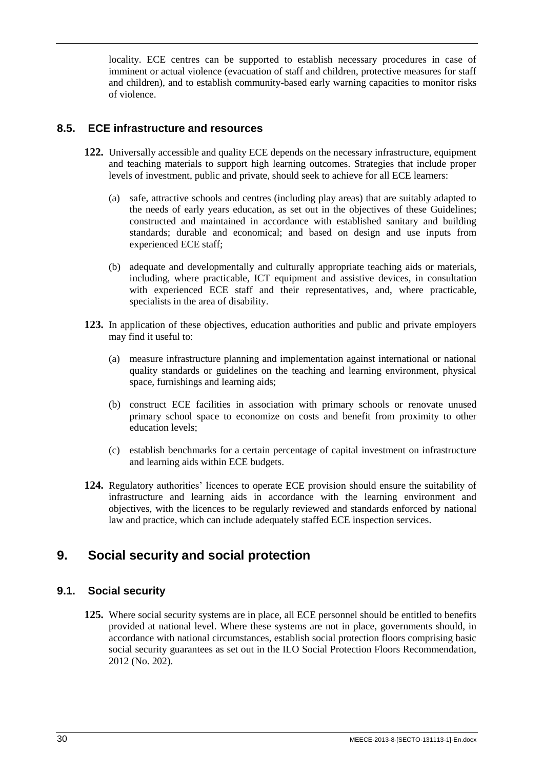locality. ECE centres can be supported to establish necessary procedures in case of imminent or actual violence (evacuation of staff and children, protective measures for staff and children), and to establish community-based early warning capacities to monitor risks of violence.

### <span id="page-37-0"></span>**8.5. ECE infrastructure and resources**

- **122.** Universally accessible and quality ECE depends on the necessary infrastructure, equipment and teaching materials to support high learning outcomes. Strategies that include proper levels of investment, public and private, should seek to achieve for all ECE learners:
	- (a) safe, attractive schools and centres (including play areas) that are suitably adapted to the needs of early years education, as set out in the objectives of these Guidelines; constructed and maintained in accordance with established sanitary and building standards; durable and economical; and based on design and use inputs from experienced ECE staff;
	- (b) adequate and developmentally and culturally appropriate teaching aids or materials, including, where practicable, ICT equipment and assistive devices, in consultation with experienced ECE staff and their representatives, and, where practicable, specialists in the area of disability.
- **123.** In application of these objectives, education authorities and public and private employers may find it useful to:
	- (a) measure infrastructure planning and implementation against international or national quality standards or guidelines on the teaching and learning environment, physical space, furnishings and learning aids;
	- (b) construct ECE facilities in association with primary schools or renovate unused primary school space to economize on costs and benefit from proximity to other education levels;
	- (c) establish benchmarks for a certain percentage of capital investment on infrastructure and learning aids within ECE budgets.
- **124.** Regulatory authorities' licences to operate ECE provision should ensure the suitability of infrastructure and learning aids in accordance with the learning environment and objectives, with the licences to be regularly reviewed and standards enforced by national law and practice, which can include adequately staffed ECE inspection services.

## <span id="page-37-1"></span>**9. Social security and social protection**

## <span id="page-37-2"></span>**9.1. Social security**

**125.** Where social security systems are in place, all ECE personnel should be entitled to benefits provided at national level. Where these systems are not in place, governments should, in accordance with national circumstances, establish social protection floors comprising basic social security guarantees as set out in the ILO Social Protection Floors Recommendation, 2012 (No. 202).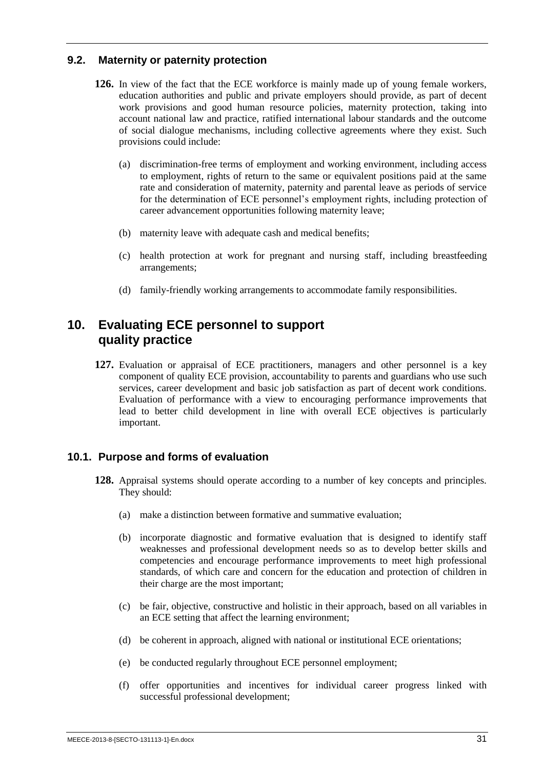### <span id="page-38-0"></span>**9.2. Maternity or paternity protection**

- **126.** In view of the fact that the ECE workforce is mainly made up of young female workers, education authorities and public and private employers should provide, as part of decent work provisions and good human resource policies, maternity protection, taking into account national law and practice, ratified international labour standards and the outcome of social dialogue mechanisms, including collective agreements where they exist. Such provisions could include:
	- (a) discrimination-free terms of employment and working environment, including access to employment, rights of return to the same or equivalent positions paid at the same rate and consideration of maternity, paternity and parental leave as periods of service for the determination of ECE personnel's employment rights, including protection of career advancement opportunities following maternity leave;
	- (b) maternity leave with adequate cash and medical benefits;
	- (c) health protection at work for pregnant and nursing staff, including breastfeeding arrangements;
	- (d) family-friendly working arrangements to accommodate family responsibilities.

## <span id="page-38-1"></span>**10. Evaluating ECE personnel to support quality practice**

**127.** Evaluation or appraisal of ECE practitioners, managers and other personnel is a key component of quality ECE provision, accountability to parents and guardians who use such services, career development and basic job satisfaction as part of decent work conditions. Evaluation of performance with a view to encouraging performance improvements that lead to better child development in line with overall ECE objectives is particularly important.

### <span id="page-38-2"></span>**10.1. Purpose and forms of evaluation**

- **128.** Appraisal systems should operate according to a number of key concepts and principles. They should:
	- (a) make a distinction between formative and summative evaluation;
	- (b) incorporate diagnostic and formative evaluation that is designed to identify staff weaknesses and professional development needs so as to develop better skills and competencies and encourage performance improvements to meet high professional standards, of which care and concern for the education and protection of children in their charge are the most important;
	- (c) be fair, objective, constructive and holistic in their approach, based on all variables in an ECE setting that affect the learning environment;
	- (d) be coherent in approach, aligned with national or institutional ECE orientations;
	- (e) be conducted regularly throughout ECE personnel employment;
	- (f) offer opportunities and incentives for individual career progress linked with successful professional development;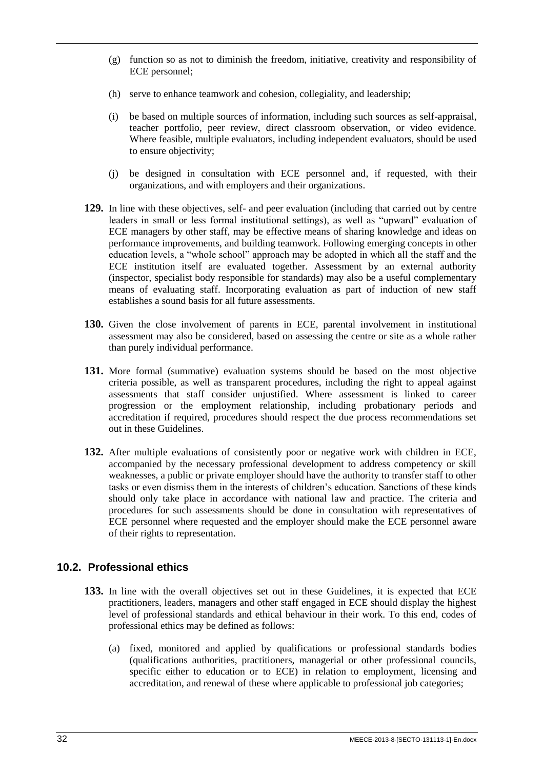- (g) function so as not to diminish the freedom, initiative, creativity and responsibility of ECE personnel;
- (h) serve to enhance teamwork and cohesion, collegiality, and leadership;
- (i) be based on multiple sources of information, including such sources as self-appraisal, teacher portfolio, peer review, direct classroom observation, or video evidence. Where feasible, multiple evaluators, including independent evaluators, should be used to ensure objectivity;
- (j) be designed in consultation with ECE personnel and, if requested, with their organizations, and with employers and their organizations.
- **129.** In line with these objectives, self- and peer evaluation (including that carried out by centre leaders in small or less formal institutional settings), as well as "upward" evaluation of ECE managers by other staff, may be effective means of sharing knowledge and ideas on performance improvements, and building teamwork. Following emerging concepts in other education levels, a "whole school" approach may be adopted in which all the staff and the ECE institution itself are evaluated together. Assessment by an external authority (inspector, specialist body responsible for standards) may also be a useful complementary means of evaluating staff. Incorporating evaluation as part of induction of new staff establishes a sound basis for all future assessments.
- **130.** Given the close involvement of parents in ECE, parental involvement in institutional assessment may also be considered, based on assessing the centre or site as a whole rather than purely individual performance.
- **131.** More formal (summative) evaluation systems should be based on the most objective criteria possible, as well as transparent procedures, including the right to appeal against assessments that staff consider unjustified. Where assessment is linked to career progression or the employment relationship, including probationary periods and accreditation if required, procedures should respect the due process recommendations set out in these Guidelines.
- **132.** After multiple evaluations of consistently poor or negative work with children in ECE, accompanied by the necessary professional development to address competency or skill weaknesses, a public or private employer should have the authority to transfer staff to other tasks or even dismiss them in the interests of children's education. Sanctions of these kinds should only take place in accordance with national law and practice. The criteria and procedures for such assessments should be done in consultation with representatives of ECE personnel where requested and the employer should make the ECE personnel aware of their rights to representation.

### <span id="page-39-0"></span>**10.2. Professional ethics**

- **133.** In line with the overall objectives set out in these Guidelines, it is expected that ECE practitioners, leaders, managers and other staff engaged in ECE should display the highest level of professional standards and ethical behaviour in their work. To this end, codes of professional ethics may be defined as follows:
	- (a) fixed, monitored and applied by qualifications or professional standards bodies (qualifications authorities, practitioners, managerial or other professional councils, specific either to education or to ECE) in relation to employment, licensing and accreditation, and renewal of these where applicable to professional job categories;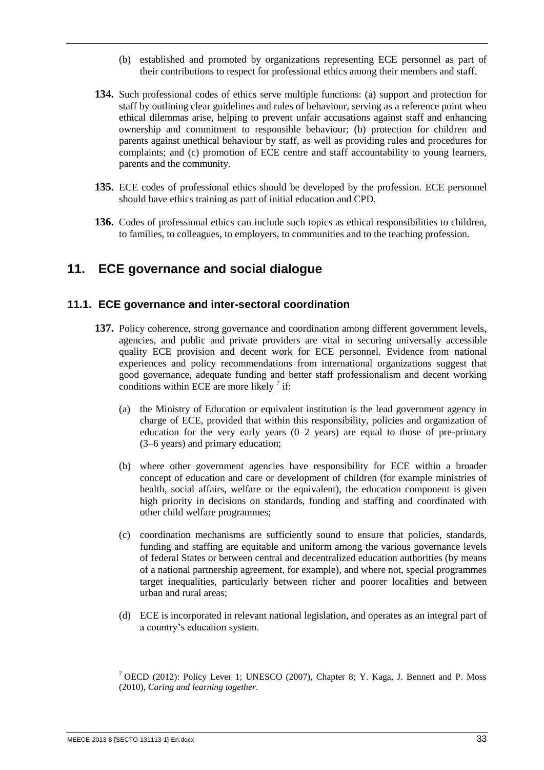- (b) established and promoted by organizations representing ECE personnel as part of their contributions to respect for professional ethics among their members and staff.
- **134.** Such professional codes of ethics serve multiple functions: (a) support and protection for staff by outlining clear guidelines and rules of behaviour, serving as a reference point when ethical dilemmas arise, helping to prevent unfair accusations against staff and enhancing ownership and commitment to responsible behaviour; (b) protection for children and parents against unethical behaviour by staff, as well as providing rules and procedures for complaints; and (c) promotion of ECE centre and staff accountability to young learners, parents and the community.
- **135.** ECE codes of professional ethics should be developed by the profession. ECE personnel should have ethics training as part of initial education and CPD.
- **136.** Codes of professional ethics can include such topics as ethical responsibilities to children, to families, to colleagues, to employers, to communities and to the teaching profession.

## <span id="page-40-0"></span>**11. ECE governance and social dialogue**

### <span id="page-40-1"></span>**11.1. ECE governance and inter-sectoral coordination**

- **137.** Policy coherence, strong governance and coordination among different government levels, agencies, and public and private providers are vital in securing universally accessible quality ECE provision and decent work for ECE personnel. Evidence from national experiences and policy recommendations from international organizations suggest that good governance, adequate funding and better staff professionalism and decent working conditions within ECE are more likely  $\frac{7}{1}$  if:
	- (a) the Ministry of Education or equivalent institution is the lead government agency in charge of ECE, provided that within this responsibility, policies and organization of education for the very early years  $(0-2 \text{ years})$  are equal to those of pre-primary (3–6 years) and primary education;
	- (b) where other government agencies have responsibility for ECE within a broader concept of education and care or development of children (for example ministries of health, social affairs, welfare or the equivalent), the education component is given high priority in decisions on standards, funding and staffing and coordinated with other child welfare programmes;
	- (c) coordination mechanisms are sufficiently sound to ensure that policies, standards, funding and staffing are equitable and uniform among the various governance levels of federal States or between central and decentralized education authorities (by means of a national partnership agreement, for example), and where not, special programmes target inequalities, particularly between richer and poorer localities and between urban and rural areas;
	- (d) ECE is incorporated in relevant national legislation, and operates as an integral part of a country's education system.

<sup>7</sup> OECD (2012): Policy Lever 1; UNESCO (2007), Chapter 8: Y. Kaga, J. Bennett and P. Moss (2010), *Caring and learning together*.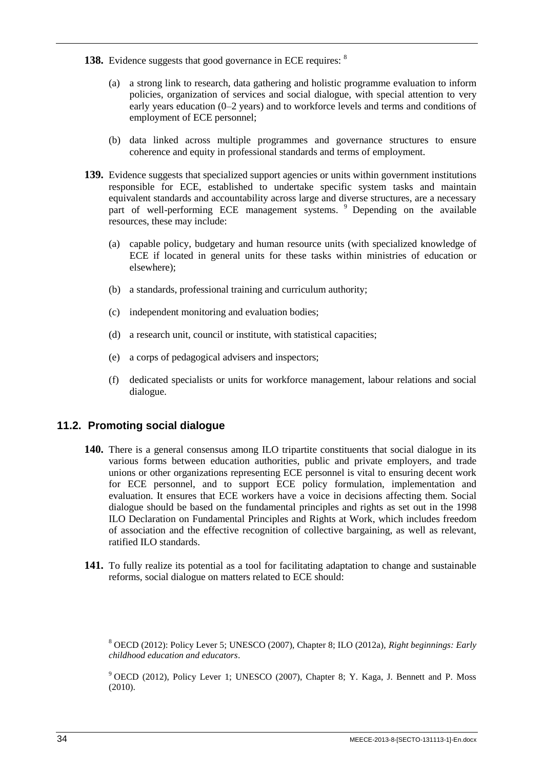- 138. Evidence suggests that good governance in ECE requires: <sup>8</sup>
	- (a) a strong link to research, data gathering and holistic programme evaluation to inform policies, organization of services and social dialogue, with special attention to very early years education (0–2 years) and to workforce levels and terms and conditions of employment of ECE personnel;
	- (b) data linked across multiple programmes and governance structures to ensure coherence and equity in professional standards and terms of employment.
- **139.** Evidence suggests that specialized support agencies or units within government institutions responsible for ECE, established to undertake specific system tasks and maintain equivalent standards and accountability across large and diverse structures, are a necessary part of well-performing ECE management systems. <sup>9</sup> Depending on the available resources, these may include:
	- (a) capable policy, budgetary and human resource units (with specialized knowledge of ECE if located in general units for these tasks within ministries of education or elsewhere);
	- (b) a standards, professional training and curriculum authority;
	- (c) independent monitoring and evaluation bodies;
	- (d) a research unit, council or institute, with statistical capacities;
	- (e) a corps of pedagogical advisers and inspectors;
	- (f) dedicated specialists or units for workforce management, labour relations and social dialogue.

### <span id="page-41-0"></span>**11.2. Promoting social dialogue**

- **140.** There is a general consensus among ILO tripartite constituents that social dialogue in its various forms between education authorities, public and private employers, and trade unions or other organizations representing ECE personnel is vital to ensuring decent work for ECE personnel, and to support ECE policy formulation, implementation and evaluation. It ensures that ECE workers have a voice in decisions affecting them. Social dialogue should be based on the fundamental principles and rights as set out in the 1998 ILO Declaration on Fundamental Principles and Rights at Work, which includes freedom of association and the effective recognition of collective bargaining, as well as relevant, ratified ILO standards.
- **141.** To fully realize its potential as a tool for facilitating adaptation to change and sustainable reforms, social dialogue on matters related to ECE should:

<sup>8</sup> OECD (2012): Policy Lever 5; UNESCO (2007), Chapter 8; ILO (2012a), *Right beginnings: Early childhood education and educators*.

<sup>9</sup> OECD (2012), Policy Lever 1; UNESCO (2007), Chapter 8; Y. Kaga, J. Bennett and P. Moss (2010).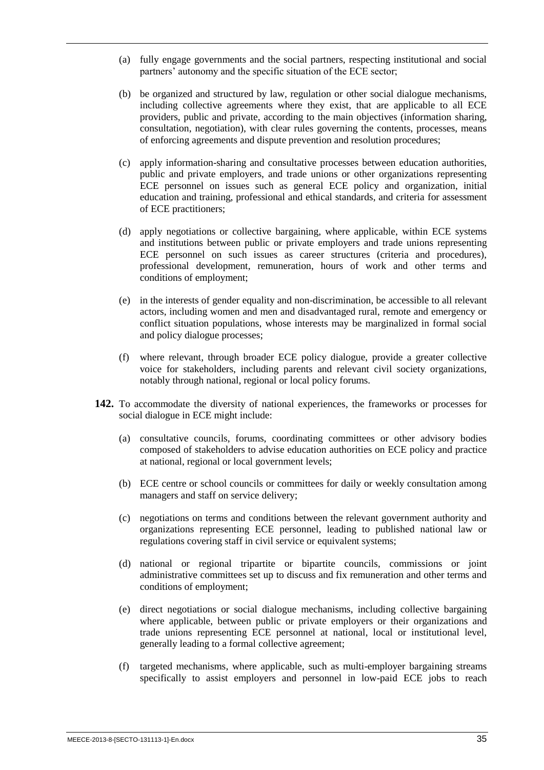- (a) fully engage governments and the social partners, respecting institutional and social partners' autonomy and the specific situation of the ECE sector;
- (b) be organized and structured by law, regulation or other social dialogue mechanisms, including collective agreements where they exist, that are applicable to all ECE providers, public and private, according to the main objectives (information sharing, consultation, negotiation), with clear rules governing the contents, processes, means of enforcing agreements and dispute prevention and resolution procedures;
- (c) apply information-sharing and consultative processes between education authorities, public and private employers, and trade unions or other organizations representing ECE personnel on issues such as general ECE policy and organization, initial education and training, professional and ethical standards, and criteria for assessment of ECE practitioners;
- (d) apply negotiations or collective bargaining, where applicable, within ECE systems and institutions between public or private employers and trade unions representing ECE personnel on such issues as career structures (criteria and procedures), professional development, remuneration, hours of work and other terms and conditions of employment;
- (e) in the interests of gender equality and non-discrimination, be accessible to all relevant actors, including women and men and disadvantaged rural, remote and emergency or conflict situation populations, whose interests may be marginalized in formal social and policy dialogue processes;
- (f) where relevant, through broader ECE policy dialogue, provide a greater collective voice for stakeholders, including parents and relevant civil society organizations, notably through national, regional or local policy forums.
- **142.** To accommodate the diversity of national experiences, the frameworks or processes for social dialogue in ECE might include:
	- (a) consultative councils, forums, coordinating committees or other advisory bodies composed of stakeholders to advise education authorities on ECE policy and practice at national, regional or local government levels;
	- (b) ECE centre or school councils or committees for daily or weekly consultation among managers and staff on service delivery;
	- (c) negotiations on terms and conditions between the relevant government authority and organizations representing ECE personnel, leading to published national law or regulations covering staff in civil service or equivalent systems;
	- (d) national or regional tripartite or bipartite councils, commissions or joint administrative committees set up to discuss and fix remuneration and other terms and conditions of employment;
	- (e) direct negotiations or social dialogue mechanisms, including collective bargaining where applicable, between public or private employers or their organizations and trade unions representing ECE personnel at national, local or institutional level, generally leading to a formal collective agreement;
	- (f) targeted mechanisms, where applicable, such as multi-employer bargaining streams specifically to assist employers and personnel in low-paid ECE jobs to reach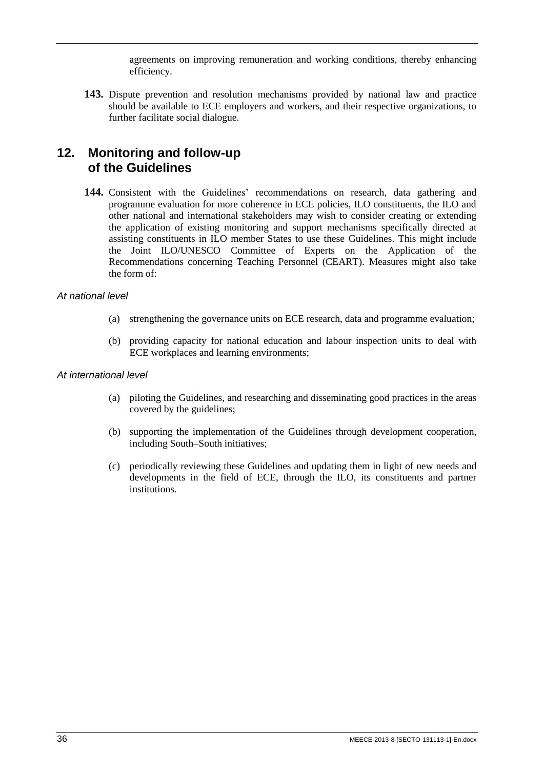agreements on improving remuneration and working conditions, thereby enhancing efficiency.

**143.** Dispute prevention and resolution mechanisms provided by national law and practice should be available to ECE employers and workers, and their respective organizations, to further facilitate social dialogue.

## <span id="page-43-0"></span>**12. Monitoring and follow-up of the Guidelines**

**144.** Consistent with the Guidelines' recommendations on research, data gathering and programme evaluation for more coherence in ECE policies, ILO constituents, the ILO and other national and international stakeholders may wish to consider creating or extending the application of existing monitoring and support mechanisms specifically directed at assisting constituents in ILO member States to use these Guidelines. This might include the Joint ILO/UNESCO Committee of Experts on the Application of the Recommendations concerning Teaching Personnel (CEART). Measures might also take the form of:

#### *At national level*

- (a) strengthening the governance units on ECE research, data and programme evaluation;
- (b) providing capacity for national education and labour inspection units to deal with ECE workplaces and learning environments;

#### *At international level*

- (a) piloting the Guidelines, and researching and disseminating good practices in the areas covered by the guidelines;
- (b) supporting the implementation of the Guidelines through development cooperation, including South–South initiatives;
- (c) periodically reviewing these Guidelines and updating them in light of new needs and developments in the field of ECE, through the ILO, its constituents and partner institutions.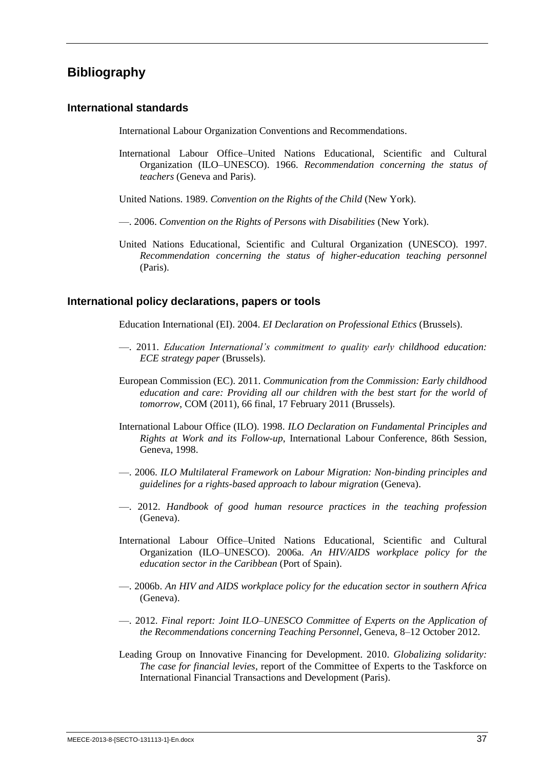## <span id="page-44-0"></span>**Bibliography**

#### **International standards**

International Labour Organization Conventions and Recommendations.

- International Labour Office–United Nations Educational, Scientific and Cultural Organization (ILO–UNESCO). 1966. *Recommendation concerning the status of teachers* (Geneva and Paris).
- United Nations. 1989. *Convention on the Rights of the Child* (New York).
- —. 2006. *Convention on the Rights of Persons with Disabilities* (New York).
- United Nations Educational, Scientific and Cultural Organization (UNESCO). 1997. *Recommendation concerning the status of higher-education teaching personnel* (Paris).

#### **International policy declarations, papers or tools**

Education International (EI). 2004. *EI Declaration on Professional Ethics* (Brussels).

- —. 2011. *Education International's commitment to quality early childhood education: ECE strategy paper* (Brussels).
- European Commission (EC). 2011. *Communication from the Commission: Early childhood education and care: Providing all our children with the best start for the world of tomorrow*, COM (2011), 66 final, 17 February 2011 (Brussels).
- International Labour Office (ILO). 1998. *ILO Declaration on Fundamental Principles and Rights at Work and its Follow-up*, International Labour Conference, 86th Session, Geneva, 1998.
- —. 2006. *ILO Multilateral Framework on Labour Migration: Non-binding principles and guidelines for a rights-based approach to labour migration* (Geneva).
- —. 2012. *Handbook of good human resource practices in the teaching profession* (Geneva).
- International Labour Office–United Nations Educational, Scientific and Cultural Organization (ILO–UNESCO). 2006a. *An HIV/AIDS workplace policy for the education sector in the Caribbean* (Port of Spain).
- —. 2006b. *An HIV and AIDS workplace policy for the education sector in southern Africa* (Geneva).
- —. 2012. *Final report: Joint ILO–UNESCO Committee of Experts on the Application of the Recommendations concerning Teaching Personnel*, Geneva, 8–12 October 2012.
- Leading Group on Innovative Financing for Development. 2010. *Globalizing solidarity: The case for financial levies*, report of the Committee of Experts to the Taskforce on International Financial Transactions and Development (Paris).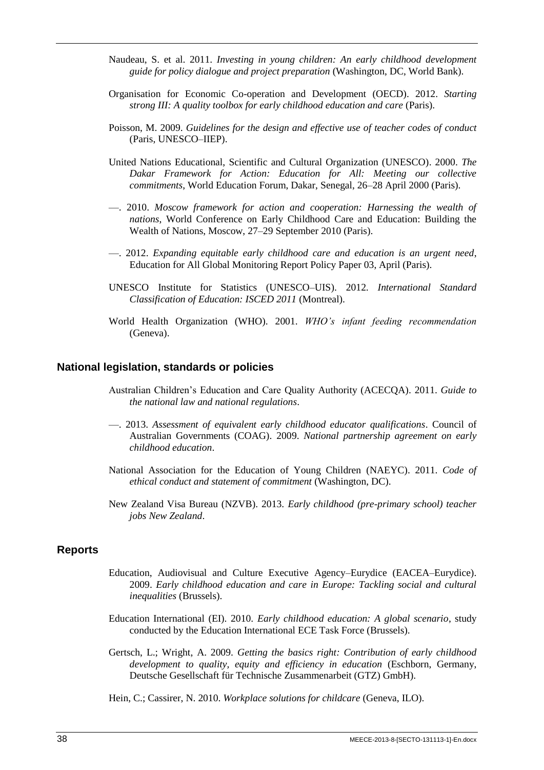- Naudeau, S. et al. 2011. *Investing in young children: An early childhood development guide for policy dialogue and project preparation* (Washington, DC, World Bank).
- Organisation for Economic Co-operation and Development (OECD). 2012. *Starting strong III: A quality toolbox for early childhood education and care* (Paris).
- Poisson, M. 2009. *Guidelines for the design and effective use of teacher codes of conduct* (Paris, UNESCO–IIEP).
- United Nations Educational, Scientific and Cultural Organization (UNESCO). 2000. *The Dakar Framework for Action: Education for All: Meeting our collective commitments*, World Education Forum, Dakar, Senegal, 26–28 April 2000 (Paris).
- —. 2010. *Moscow framework for action and cooperation: Harnessing the wealth of nations*, World Conference on Early Childhood Care and Education: Building the Wealth of Nations, Moscow, 27–29 September 2010 (Paris).
- —. 2012. *Expanding equitable early childhood care and education is an urgent need*, Education for All Global Monitoring Report Policy Paper 03, April (Paris).
- UNESCO Institute for Statistics (UNESCO–UIS). 2012. *International Standard Classification of Education: ISCED 2011* (Montreal).
- World Health Organization (WHO). 2001. *WHO's infant feeding recommendation* (Geneva).

#### **National legislation, standards or policies**

- Australian Children's Education and Care Quality Authority (ACECQA). 2011. *Guide to the national law and national regulations*.
- —. 2013. *Assessment of equivalent early childhood educator qualifications*. Council of Australian Governments (COAG). 2009. *National partnership agreement on early childhood education*.
- National Association for the Education of Young Children (NAEYC). 2011. *Code of ethical conduct and statement of commitment* (Washington, DC).
- New Zealand Visa Bureau (NZVB). 2013. *Early childhood (pre-primary school) teacher jobs New Zealand*.

#### **Reports**

- Education, Audiovisual and Culture Executive Agency–Eurydice (EACEA–Eurydice). 2009. *Early childhood education and care in Europe: Tackling social and cultural inequalities* (Brussels).
- Education International (EI). 2010. *Early childhood education: A global scenario*, study conducted by the Education International ECE Task Force (Brussels).
- Gertsch, L.; Wright, A. 2009. *Getting the basics right: Contribution of early childhood development to quality, equity and efficiency in education* (Eschborn, Germany, Deutsche Gesellschaft für Technische Zusammenarbeit (GTZ) GmbH).
- Hein, C.; Cassirer, N. 2010. *Workplace solutions for childcare* (Geneva, ILO).